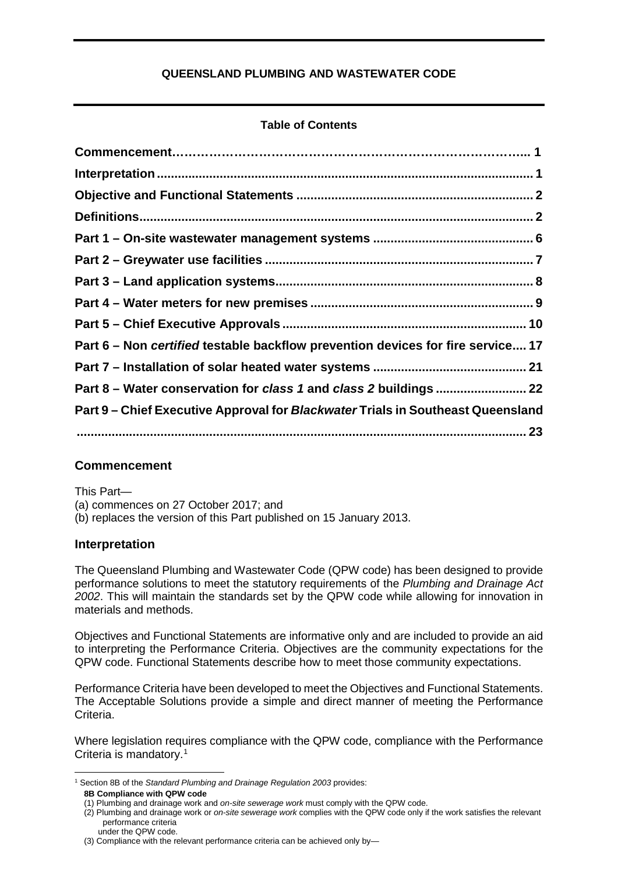## **QUEENSLAND PLUMBING AND WASTEWATER CODE**

## **Table of Contents**

| Part 6 – Non certified testable backflow prevention devices for fire service 17 |  |
|---------------------------------------------------------------------------------|--|
|                                                                                 |  |
| Part 8 - Water conservation for class 1 and class 2 buildings  22               |  |
| Part 9 - Chief Executive Approval for Blackwater Trials in Southeast Queensland |  |
|                                                                                 |  |

## **Commencement**

This Part—

(a) commences on 27 October 2017; and

<span id="page-0-0"></span>(b) replaces the version of this Part published on 15 January 2013.

## **Interpretation**

The Queensland Plumbing and Wastewater Code (QPW code) has been designed to provide performance solutions to meet the statutory requirements of the *Plumbing and Drainage Act 2002*. This will maintain the standards set by the QPW code while allowing for innovation in materials and methods.

Objectives and Functional Statements are informative only and are included to provide an aid to interpreting the Performance Criteria. Objectives are the community expectations for the QPW code. Functional Statements describe how to meet those community expectations.

Performance Criteria have been developed to meet the Objectives and Functional Statements. The Acceptable Solutions provide a simple and direct manner of meeting the Performance Criteria.

Where legislation requires compliance with the QPW code, compliance with the Performance Criteria is mandatory.<sup>[1](#page-0-1)</sup>

<span id="page-0-1"></span><sup>&</sup>lt;u>.</u> <sup>1</sup> Section 8B of the *Standard Plumbing and Drainage Regulation 2003* provides: **8B Compliance with QPW code**

<sup>(1)</sup> Plumbing and drainage work and *on-site sewerage work* must comply with the QPW code.

<sup>(2)</sup> Plumbing and drainage work or *on-site sewerage work* complies with the QPW code only if the work satisfies the relevant performance criteria under the QPW code.

<sup>(3)</sup> Compliance with the relevant performance criteria can be achieved only by—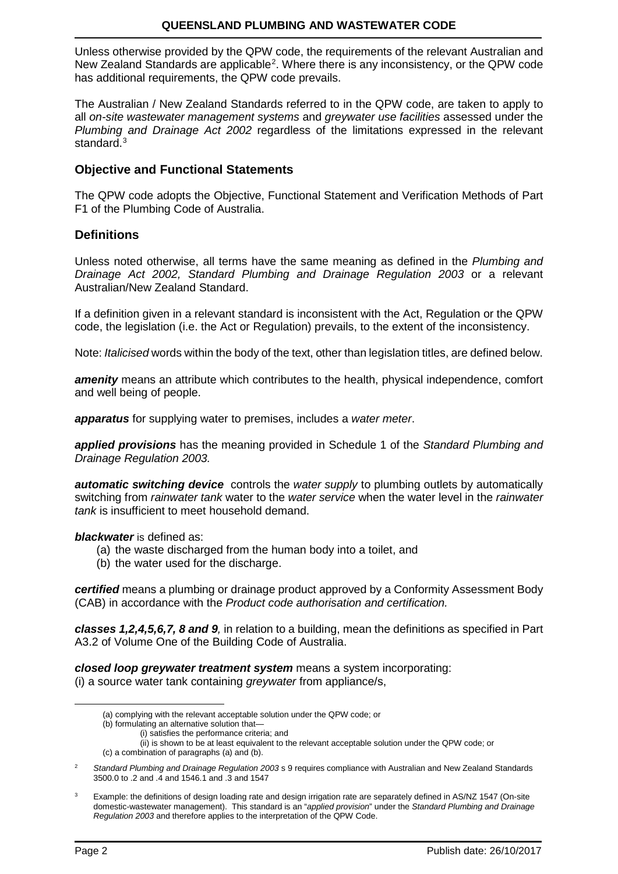Unless otherwise provided by the QPW code, the requirements of the relevant Australian and New Zealand Standards are applicable<sup>[2](#page-1-2)</sup>. Where there is any inconsistency, or the QPW code has additional requirements, the QPW code prevails.

The Australian / New Zealand Standards referred to in the QPW code, are taken to apply to all *on-site wastewater management systems* and *greywater use facilities* assessed under the *Plumbing and Drainage Act 2002* regardless of the limitations expressed in the relevant standard.<sup>[3](#page-1-3)</sup>

## <span id="page-1-0"></span>**Objective and Functional Statements**

The QPW code adopts the Objective, Functional Statement and Verification Methods of Part F1 of the Plumbing Code of Australia.

## <span id="page-1-1"></span>**Definitions**

Unless noted otherwise, all terms have the same meaning as defined in the *Plumbing and Drainage Act 2002, Standard Plumbing and Drainage Regulation 2003* or a relevant Australian/New Zealand Standard.

If a definition given in a relevant standard is inconsistent with the Act, Regulation or the QPW code, the legislation (i.e. the Act or Regulation) prevails, to the extent of the inconsistency.

Note: *Italicised* words within the body of the text, other than legislation titles, are defined below.

*amenity* means an attribute which contributes to the health, physical independence, comfort and well being of people.

*apparatus* for supplying water to premises, includes a *water meter*.

*applied provisions* has the meaning provided in Schedule 1 of the *Standard Plumbing and Drainage Regulation 2003.*

*automatic switching device* controls the *water supply* to plumbing outlets by automatically switching from *rainwater tank* water to the *water service* when the water level in the *rainwater tank* is insufficient to meet household demand.

*blackwater* is defined as:

- (a) the waste discharged from the human body into a toilet, and
- (b) the water used for the discharge.

*certified* means a plumbing or drainage product approved by a Conformity Assessment Body (CAB) in accordance with the *Product code authorisation and certification.*

*classes 1,2,4,5,6,7, 8 and 9,* in relation to a building, mean the definitions as specified in Part A3.2 of Volume One of the Building Code of Australia.

*closed loop greywater treatment system* means a system incorporating: (i) a source water tank containing *greywater* from appliance/s,

- (a) complying with the relevant acceptable solution under the QPW code; or
- (b) formulating an alternative solution that—
	- (i) satisfies the performance criteria; and

- <span id="page-1-2"></span><sup>2</sup> *Standard Plumbing and Drainage Regulation 2003* s 9 requires compliance with Australian and New Zealand Standards 3500.0 to .2 and .4 and 1546.1 and .3 and 1547
- <span id="page-1-3"></span>3 Example: the definitions of design loading rate and design irrigation rate are separately defined in AS/NZ 1547 (On-site domestic-wastewater management). This standard is an "*applied provision*" under the *Standard Plumbing and Drainage Regulation 2003* and therefore applies to the interpretation of the QPW Code.

<u>.</u>

<sup>(</sup>ii) is shown to be at least equivalent to the relevant acceptable solution under the QPW code; or (c) a combination of paragraphs (a) and (b).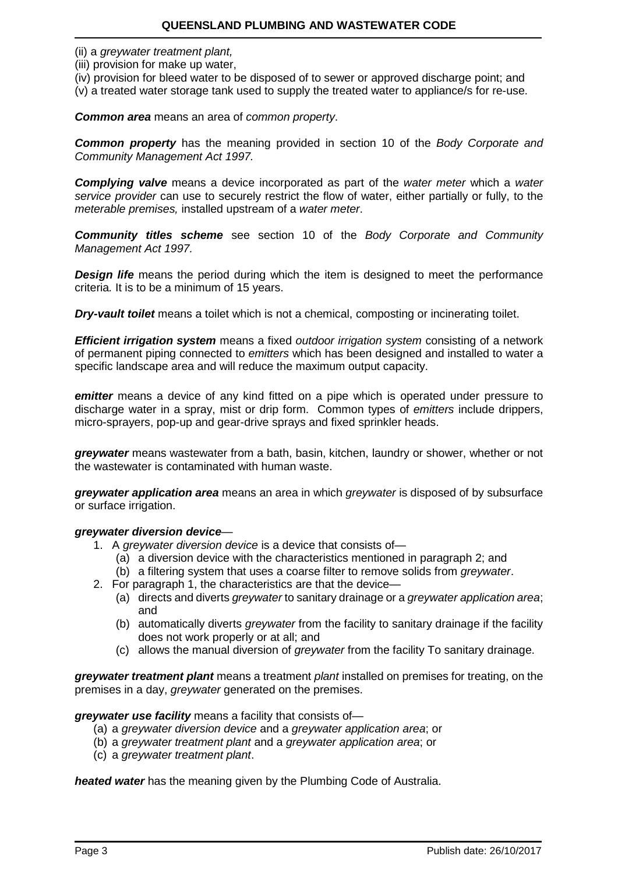- (ii) a *greywater treatment plant,*
- (iii) provision for make up water,

(iv) provision for bleed water to be disposed of to sewer or approved discharge point; and (v) a treated water storage tank used to supply the treated water to appliance/s for re-use.

## *Common area* means an area of *common property*.

*Common property* has the meaning provided in section 10 of the *Body Corporate and Community Management Act 1997.*

*Complying valve* means a device incorporated as part of the *water meter* which a *water service provider* can use to securely restrict the flow of water, either partially or fully, to the *meterable premises,* installed upstream of a *water meter*.

*Community titles scheme* see section 10 of the *Body Corporate and Community Management Act 1997.*

**Design life** means the period during which the item is designed to meet the performance criteria*.* It is to be a minimum of 15 years.

*Dry-vault toilet* means a toilet which is not a chemical, composting or incinerating toilet.

*Efficient irrigation system* means a fixed *outdoor irrigation system* consisting of a network of permanent piping connected to *emitters* which has been designed and installed to water a specific landscape area and will reduce the maximum output capacity.

*emitter* means a device of any kind fitted on a pipe which is operated under pressure to discharge water in a spray, mist or drip form. Common types of *emitters* include drippers, micro-sprayers, pop-up and gear-drive sprays and fixed sprinkler heads.

*greywater* means wastewater from a bath, basin, kitchen, laundry or shower, whether or not the wastewater is contaminated with human waste.

*greywater application area* means an area in which *greywater* is disposed of by subsurface or surface irrigation.

#### *greywater diversion device*—

- 1. A *greywater diversion device* is a device that consists of—
	- (a) a diversion device with the characteristics mentioned in paragraph 2; and
	- (b) a filtering system that uses a coarse filter to remove solids from *greywater*.
- 2. For paragraph 1, the characteristics are that the device—
	- (a) directs and diverts *greywater* to sanitary drainage or a *greywater application area*; and
	- (b) automatically diverts *greywater* from the facility to sanitary drainage if the facility does not work properly or at all; and
	- (c) allows the manual diversion of *greywater* from the facility To sanitary drainage.

*greywater treatment plant* means a treatment *plant* installed on premises for treating, on the premises in a day, *greywater* generated on the premises.

*greywater use facility* means a facility that consists of—

- (a) a *greywater diversion device* and a *greywater application area*; or
- (b) a *greywater treatment plant* and a *greywater application area*; or
- (c) a *greywater treatment plant*.

*heated water* has the meaning given by the Plumbing Code of Australia.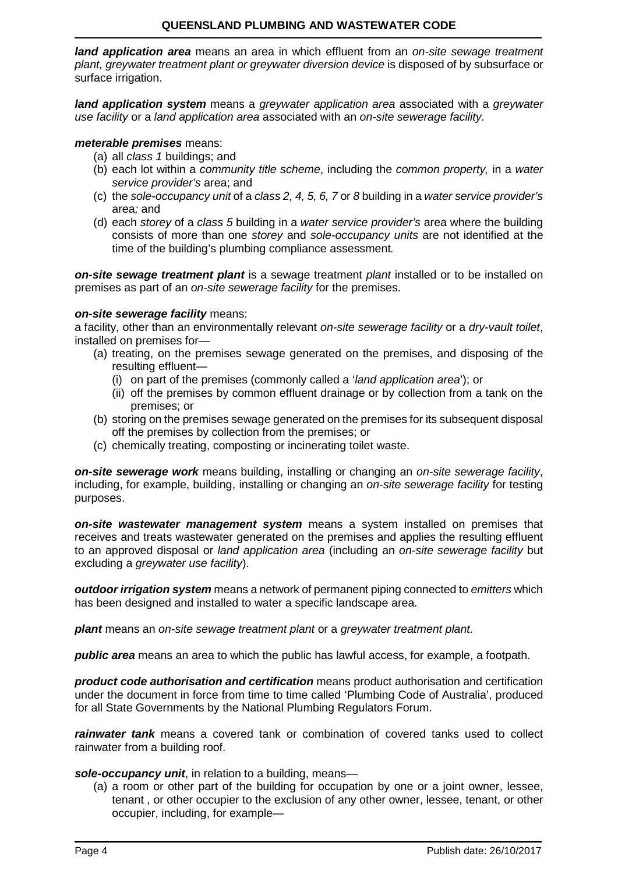*land application area* means an area in which effluent from an *on-site sewage treatment plant, greywater treatment plant or greywater diversion device* is disposed of by subsurface or surface irrigation.

*land application system* means a *greywater application area* associated with a *greywater use facility* or a *land application area* associated with an *on-site sewerage facility.*

#### *meterable premises* means:

- (a) all *class 1* buildings; and
- (b) each lot within a *community title scheme*, including the *common property,* in a *water service provider's* area; and
- (c) the *sole-occupancy unit* of a *class 2, 4, 5, 6, 7* or *8* building in a *water service provider's* area*;* and
- (d) each *storey* of a *class 5* building in a *water service provider's* area where the building consists of more than one *storey* and *sole-occupancy units* are not identified at the time of the building's plumbing compliance assessment*.*

**on-site sewage treatment plant** is a sewage treatment *plant* installed or to be installed on premises as part of an *on-site sewerage facility* for the premises.

#### *on-site sewerage facility* means:

a facility, other than an environmentally relevant *on-site sewerage facility* or a *dry-vault toilet*, installed on premises for—

- (a) treating, on the premises sewage generated on the premises, and disposing of the resulting effluent—
	- (i) on part of the premises (commonly called a '*land application area*'); or
	- (ii) off the premises by common effluent drainage or by collection from a tank on the premises; or
- (b) storing on the premises sewage generated on the premises for its subsequent disposal off the premises by collection from the premises; or
- (c) chemically treating, composting or incinerating toilet waste.

*on-site sewerage work* means building, installing or changing an *on-site sewerage facility*, including, for example, building, installing or changing an *on-site sewerage facility* for testing purposes.

*on-site wastewater management system* means a system installed on premises that receives and treats wastewater generated on the premises and applies the resulting effluent to an approved disposal or *land application area* (including an *on-site sewerage facility* but excluding a *greywater use facility*).

*outdoor irrigation system* means a network of permanent piping connected to *emitters* which has been designed and installed to water a specific landscape area.

*plant* means an *on-site sewage treatment plant* or a *greywater treatment plant.*

*public area* means an area to which the public has lawful access, for example, a footpath.

*product code authorisation and certification* means product authorisation and certification under the document in force from time to time called 'Plumbing Code of Australia', produced for all State Governments by the National Plumbing Regulators Forum.

*rainwater tank* means a covered tank or combination of covered tanks used to collect rainwater from a building roof.

*sole-occupancy unit*, in relation to a building, means—

(a) a room or other part of the building for occupation by one or a joint owner, lessee, tenant , or other occupier to the exclusion of any other owner, lessee, tenant, or other occupier, including, for example—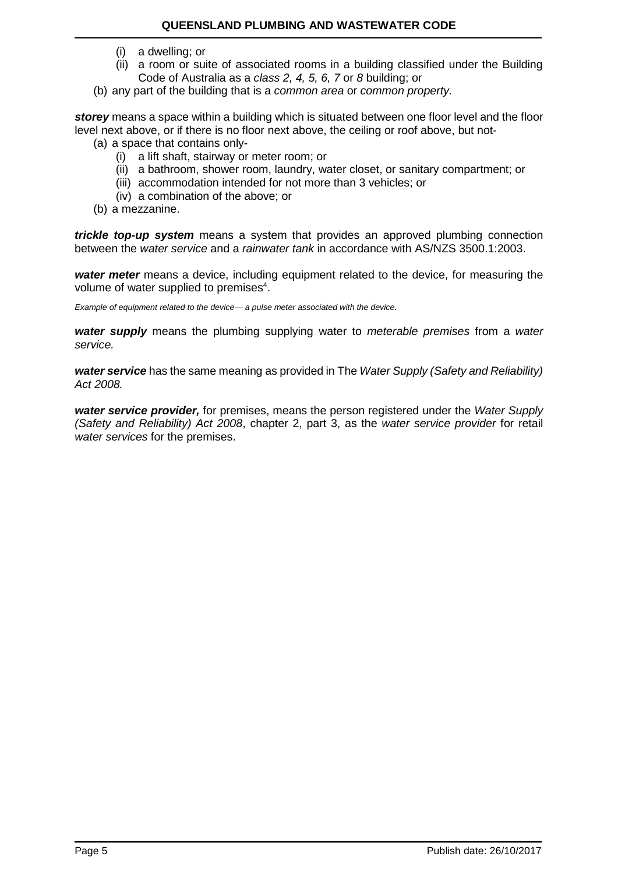- (i) a dwelling; or
- (ii) a room or suite of associated rooms in a building classified under the Building Code of Australia as a *class 2, 4, 5, 6, 7* or *8* building; or
- (b) any part of the building that is a *common area* or *common property.*

*storey* means a space within a building which is situated between one floor level and the floor level next above, or if there is no floor next above, the ceiling or roof above, but not-

- (a) a space that contains only-
	- (i) a lift shaft, stairway or meter room; or
	- (ii) a bathroom, shower room, laundry, water closet, or sanitary compartment; or
	- (iii) accommodation intended for not more than 3 vehicles; or
	- (iv) a combination of the above; or
- (b) a mezzanine.

*trickle top-up system* means a system that provides an approved plumbing connection between the *water service* and a *rainwater tank* in accordance with AS/NZS 3500.1:2003.

*water meter* means a device, including equipment related to the device, for measuring the volume of water supplied to premises $4$ .

*Example of equipment related to the device— a pulse meter associated with the device.*

*water supply* means the plumbing supplying water to *meterable premises* from a *water service.*

*water service* has the same meaning as provided in The *Water Supply (Safety and Reliability) Act 2008.*

*water service provider,* for premises, means the person registered under the *Water Supply (Safety and Reliability) Act 2008*, chapter 2, part 3, as the *water service provider* for retail *water services* for the premises.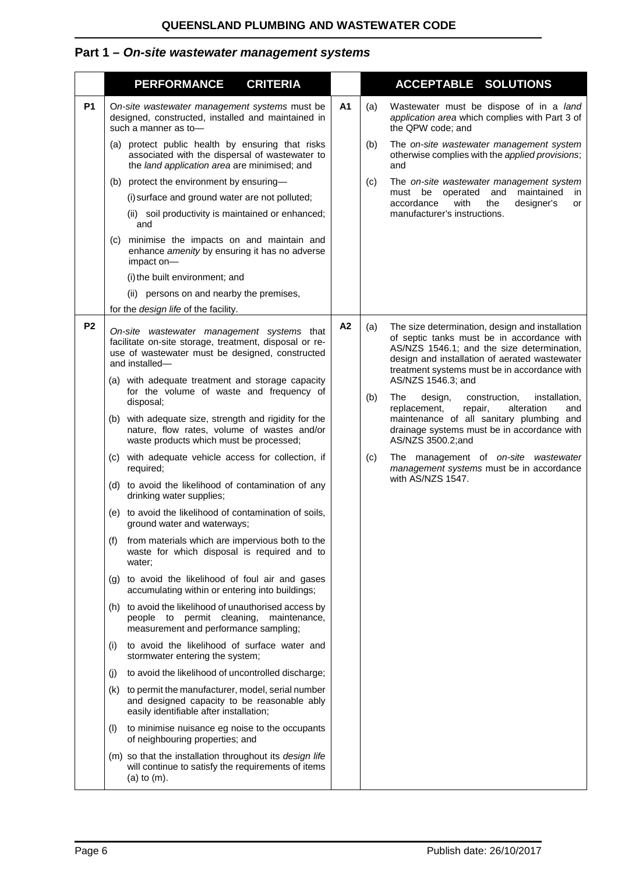# <span id="page-5-0"></span>**Part 1 –** *On-site wastewater management systems*

<span id="page-5-1"></span>

|                | <b>PERFORMANCE</b>                                                                                                                                                                                                                                                                                                                                                                                                                                                                                                                                                                                                                                                                                                                                                                                                                                                                                                                                                                                                                                                                                                                                                                                                                                                                                                                                                                                                                                                                                                                | <b>CRITERIA</b> |                |                   | <b>ACCEPTABLE SOLUTIONS</b>                                                                                                                                                                                                                                                                                                                                                                                                                                                                                                                                                                     |
|----------------|-----------------------------------------------------------------------------------------------------------------------------------------------------------------------------------------------------------------------------------------------------------------------------------------------------------------------------------------------------------------------------------------------------------------------------------------------------------------------------------------------------------------------------------------------------------------------------------------------------------------------------------------------------------------------------------------------------------------------------------------------------------------------------------------------------------------------------------------------------------------------------------------------------------------------------------------------------------------------------------------------------------------------------------------------------------------------------------------------------------------------------------------------------------------------------------------------------------------------------------------------------------------------------------------------------------------------------------------------------------------------------------------------------------------------------------------------------------------------------------------------------------------------------------|-----------------|----------------|-------------------|-------------------------------------------------------------------------------------------------------------------------------------------------------------------------------------------------------------------------------------------------------------------------------------------------------------------------------------------------------------------------------------------------------------------------------------------------------------------------------------------------------------------------------------------------------------------------------------------------|
| <b>P1</b>      | On-site wastewater management systems must be<br>designed, constructed, installed and maintained in<br>such a manner as to-                                                                                                                                                                                                                                                                                                                                                                                                                                                                                                                                                                                                                                                                                                                                                                                                                                                                                                                                                                                                                                                                                                                                                                                                                                                                                                                                                                                                       |                 | A <sub>1</sub> | (a)               | Wastewater must be dispose of in a land<br>application area which complies with Part 3 of<br>the QPW code; and                                                                                                                                                                                                                                                                                                                                                                                                                                                                                  |
|                | (a) protect public health by ensuring that risks<br>associated with the dispersal of wastewater to<br>the land application area are minimised; and                                                                                                                                                                                                                                                                                                                                                                                                                                                                                                                                                                                                                                                                                                                                                                                                                                                                                                                                                                                                                                                                                                                                                                                                                                                                                                                                                                                |                 |                | (b)               | The on-site wastewater management system<br>otherwise complies with the applied provisions;<br>and                                                                                                                                                                                                                                                                                                                                                                                                                                                                                              |
|                | (b) protect the environment by ensuring-<br>(i) surface and ground water are not polluted;<br>(ii) soil productivity is maintained or enhanced;<br>and<br>minimise the impacts on and maintain and<br>(c)<br>enhance amenity by ensuring it has no adverse<br>impact on-<br>(i) the built environment; and<br>(ii) persons on and nearby the premises,<br>for the design life of the facility.                                                                                                                                                                                                                                                                                                                                                                                                                                                                                                                                                                                                                                                                                                                                                                                                                                                                                                                                                                                                                                                                                                                                    |                 |                | (c)               | The on-site wastewater management system<br>must be<br>operated<br>and maintained<br>in.<br>accordance<br>with<br>the<br>designer's<br>or<br>manufacturer's instructions.                                                                                                                                                                                                                                                                                                                                                                                                                       |
| P <sub>2</sub> | On-site wastewater management systems that<br>facilitate on-site storage, treatment, disposal or re-<br>use of wastewater must be designed, constructed<br>and installed-<br>(a) with adequate treatment and storage capacity<br>for the volume of waste and frequency of<br>disposal;<br>(b) with adequate size, strength and rigidity for the<br>nature, flow rates, volume of wastes and/or<br>waste products which must be processed;<br>(c) with adequate vehicle access for collection, if<br>required;<br>(d) to avoid the likelihood of contamination of any<br>drinking water supplies;<br>(e) to avoid the likelihood of contamination of soils,<br>ground water and waterways;<br>from materials which are impervious both to the<br>(t)<br>waste for which disposal is required and to<br>water;<br>(g) to avoid the likelihood of foul air and gases<br>accumulating within or entering into buildings;<br>(h) to avoid the likelihood of unauthorised access by<br>people to permit cleaning, maintenance,<br>measurement and performance sampling;<br>to avoid the likelihood of surface water and<br>(i)<br>stormwater entering the system;<br>to avoid the likelihood of uncontrolled discharge;<br>(j)<br>(k) to permit the manufacturer, model, serial number<br>and designed capacity to be reasonable ably<br>easily identifiable after installation;<br>to minimise nuisance eg noise to the occupants<br>(1)<br>of neighbouring properties; and<br>(m) so that the installation throughout its design life |                 | A2             | (a)<br>(b)<br>(c) | The size determination, design and installation<br>of septic tanks must be in accordance with<br>AS/NZS 1546.1; and the size determination,<br>design and installation of aerated wastewater<br>treatment systems must be in accordance with<br>AS/NZS 1546.3; and<br>The<br>installation,<br>design,<br>construction,<br>replacement,<br>repair,<br>alteration<br>and<br>maintenance of all sanitary plumbing and<br>drainage systems must be in accordance with<br>AS/NZS 3500.2;and<br>The management of on-site wastewater<br>management systems must be in accordance<br>with AS/NZS 1547. |
|                | will continue to satisfy the requirements of items<br>(a) to $(m)$ .                                                                                                                                                                                                                                                                                                                                                                                                                                                                                                                                                                                                                                                                                                                                                                                                                                                                                                                                                                                                                                                                                                                                                                                                                                                                                                                                                                                                                                                              |                 |                |                   |                                                                                                                                                                                                                                                                                                                                                                                                                                                                                                                                                                                                 |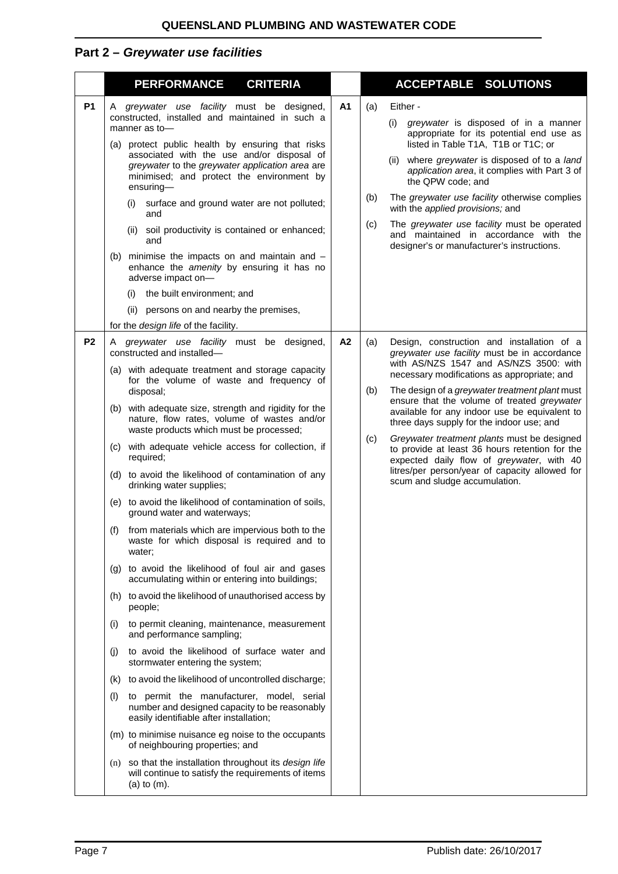# **Part 2 –** *Greywater use facilities*

<span id="page-6-0"></span>

|                | <b>PERFORMANCE</b><br><b>CRITERIA</b>                                                                                                                                                                                                                                                                                                                                                                                                                                                                                                                                                                                                                                                                                                                                                                                                                                                                                                                                                                                                                                                                                                                                                                                                                                                                                                                                                                                                                                                                            |                | <b>ACCEPTABLE SOLUTIONS</b>                                                                                                                                                                                                                                                                                                                                                                                                                                                                                                                                                                                                                     |
|----------------|------------------------------------------------------------------------------------------------------------------------------------------------------------------------------------------------------------------------------------------------------------------------------------------------------------------------------------------------------------------------------------------------------------------------------------------------------------------------------------------------------------------------------------------------------------------------------------------------------------------------------------------------------------------------------------------------------------------------------------------------------------------------------------------------------------------------------------------------------------------------------------------------------------------------------------------------------------------------------------------------------------------------------------------------------------------------------------------------------------------------------------------------------------------------------------------------------------------------------------------------------------------------------------------------------------------------------------------------------------------------------------------------------------------------------------------------------------------------------------------------------------------|----------------|-------------------------------------------------------------------------------------------------------------------------------------------------------------------------------------------------------------------------------------------------------------------------------------------------------------------------------------------------------------------------------------------------------------------------------------------------------------------------------------------------------------------------------------------------------------------------------------------------------------------------------------------------|
| <b>P1</b>      | A greywater use facility must be designed,<br>constructed, installed and maintained in such a<br>manner as to-<br>(a) protect public health by ensuring that risks<br>associated with the use and/or disposal of<br>greywater to the greywater application area are<br>minimised; and protect the environment by<br>$ensuring-$<br>surface and ground water are not polluted;<br>(i)<br>and<br>(ii) soil productivity is contained or enhanced;<br>and<br>(b) minimise the impacts on and maintain and $-$<br>enhance the amenity by ensuring it has no<br>adverse impact on-<br>the built environment; and<br>(i)<br>(ii) persons on and nearby the premises,<br>for the design life of the facility.                                                                                                                                                                                                                                                                                                                                                                                                                                                                                                                                                                                                                                                                                                                                                                                                           | A <sub>1</sub> | Either -<br>(a)<br>greywater is disposed of in a manner<br>(i)<br>appropriate for its potential end use as<br>listed in Table T1A, T1B or T1C; or<br>(ii) where greywater is disposed of to a land<br>application area, it complies with Part 3 of<br>the QPW code; and<br>The greywater use facility otherwise complies<br>(b)<br>with the applied provisions; and<br>The greywater use facility must be operated<br>(c)<br>and maintained in accordance with the<br>designer's or manufacturer's instructions.                                                                                                                                |
| P <sub>2</sub> | A greywater use facility must be designed,<br>constructed and installed-<br>(a) with adequate treatment and storage capacity<br>for the volume of waste and frequency of<br>disposal;<br>(b) with adequate size, strength and rigidity for the<br>nature, flow rates, volume of wastes and/or<br>waste products which must be processed;<br>with adequate vehicle access for collection, if<br>(C)<br>required;<br>(d) to avoid the likelihood of contamination of any<br>drinking water supplies;<br>(e) to avoid the likelihood of contamination of soils,<br>ground water and waterways;<br>(f) from materials which are impervious both to the<br>waste for which disposal is required and to<br>water;<br>(g) to avoid the likelihood of foul air and gases<br>accumulating within or entering into buildings;<br>(h) to avoid the likelihood of unauthorised access by<br>people;<br>to permit cleaning, maintenance, measurement<br>(1)<br>and performance sampling;<br>to avoid the likelihood of surface water and<br>(i)<br>stormwater entering the system;<br>to avoid the likelihood of uncontrolled discharge;<br>(k)<br>to permit the manufacturer, model, serial<br>(1)<br>number and designed capacity to be reasonably<br>easily identifiable after installation;<br>(m) to minimise nuisance eg noise to the occupants<br>of neighbouring properties; and<br>(n) so that the installation throughout its design life<br>will continue to satisfy the requirements of items<br>$(a)$ to $(m)$ . | A <sub>2</sub> | Design, construction and installation of a<br>(a)<br>greywater use facility must be in accordance<br>with AS/NZS 1547 and AS/NZS 3500: with<br>necessary modifications as appropriate; and<br>The design of a <i>greywater treatment plant</i> must<br>(b)<br>ensure that the volume of treated greywater<br>available for any indoor use be equivalent to<br>three days supply for the indoor use; and<br>Greywater treatment plants must be designed<br>(c)<br>to provide at least 36 hours retention for the<br>expected daily flow of greywater, with 40<br>litres/per person/year of capacity allowed for<br>scum and sludge accumulation. |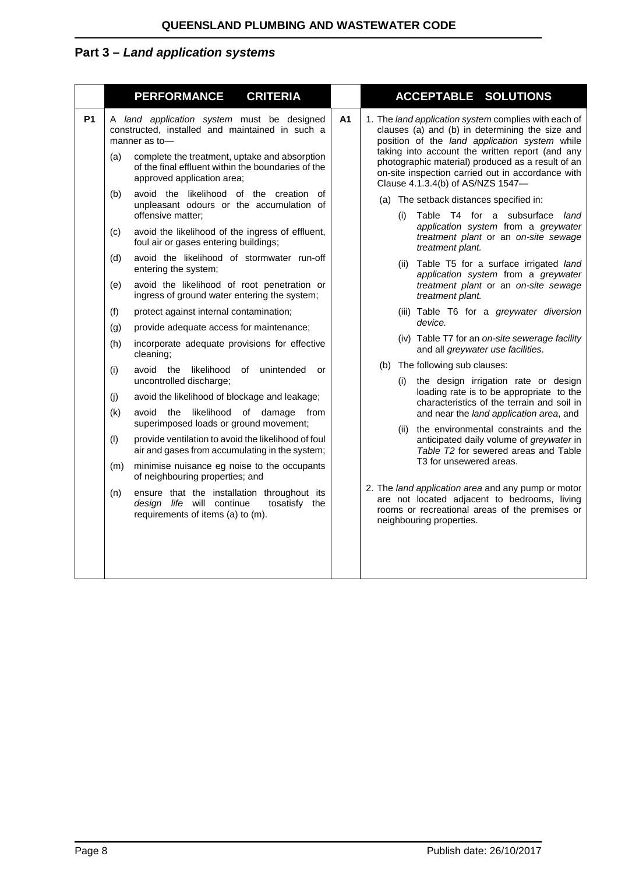# **Part 3 –** *Land application systems*

|           |                                                             | <b>CRITERIA</b><br><b>PERFORMANCE</b>                                                                                                                                                                                                                                                                                                                                                                                                                                                                                                                                                                                                                                                      |  | ACCEPTABLE SOLUTIONS                                                                                                                                                                                                                                                                                                                                                                                                                                                                                                                                                                                                                                                                                              |
|-----------|-------------------------------------------------------------|--------------------------------------------------------------------------------------------------------------------------------------------------------------------------------------------------------------------------------------------------------------------------------------------------------------------------------------------------------------------------------------------------------------------------------------------------------------------------------------------------------------------------------------------------------------------------------------------------------------------------------------------------------------------------------------------|--|-------------------------------------------------------------------------------------------------------------------------------------------------------------------------------------------------------------------------------------------------------------------------------------------------------------------------------------------------------------------------------------------------------------------------------------------------------------------------------------------------------------------------------------------------------------------------------------------------------------------------------------------------------------------------------------------------------------------|
| <b>P1</b> | (a)                                                         | A <sub>1</sub><br>A land application system must be designed<br>constructed, installed and maintained in such a<br>manner as to-<br>complete the treatment, uptake and absorption<br>of the final effluent within the boundaries of the<br>approved application area;                                                                                                                                                                                                                                                                                                                                                                                                                      |  | 1. The land application system complies with each of<br>clauses (a) and (b) in determining the size and<br>position of the land application system while<br>taking into account the written report (and any<br>photographic material) produced as a result of an<br>on-site inspection carried out in accordance with<br>Clause 4.1.3.4(b) of AS/NZS 1547-                                                                                                                                                                                                                                                                                                                                                        |
|           | (b)<br>(c)                                                  | avoid the likelihood of the creation of<br>unpleasant odours or the accumulation of<br>offensive matter;<br>avoid the likelihood of the ingress of effluent,<br>foul air or gases entering buildings;                                                                                                                                                                                                                                                                                                                                                                                                                                                                                      |  | (a) The setback distances specified in:<br>Table T4 for a subsurface land<br>(i)<br>application system from a greywater<br>treatment plant or an on-site sewage                                                                                                                                                                                                                                                                                                                                                                                                                                                                                                                                                   |
|           | (d)<br>(e)                                                  | avoid the likelihood of stormwater run-off<br>entering the system;<br>avoid the likelihood of root penetration or<br>ingress of ground water entering the system;                                                                                                                                                                                                                                                                                                                                                                                                                                                                                                                          |  | treatment plant.<br>(ii) Table T5 for a surface irrigated land<br>application system from a greywater<br>treatment plant or an on-site sewage<br>treatment plant.                                                                                                                                                                                                                                                                                                                                                                                                                                                                                                                                                 |
|           | (f)<br>(g)<br>(h)<br>(i)<br>(j)<br>(k)<br>(1)<br>(m)<br>(n) | protect against internal contamination;<br>provide adequate access for maintenance;<br>incorporate adequate provisions for effective<br>cleaning;<br>avoid the likelihood<br>of unintended<br>or<br>uncontrolled discharge;<br>avoid the likelihood of blockage and leakage;<br>avoid the likelihood of damage from<br>superimposed loads or ground movement;<br>provide ventilation to avoid the likelihood of foul<br>air and gases from accumulating in the system;<br>minimise nuisance eg noise to the occupants<br>of neighbouring properties; and<br>ensure that the installation throughout its<br>design life will continue<br>tosatisfy the<br>requirements of items (a) to (m). |  | (iii) Table T6 for a greywater diversion<br>device.<br>(iv) Table T7 for an on-site sewerage facility<br>and all greywater use facilities.<br>(b) The following sub clauses:<br>the design irrigation rate or design<br>(i)<br>loading rate is to be appropriate to the<br>characteristics of the terrain and soil in<br>and near the land application area, and<br>(ii) the environmental constraints and the<br>anticipated daily volume of greywater in<br>Table T2 for sewered areas and Table<br>T3 for unsewered areas.<br>2. The land application area and any pump or motor<br>are not located adjacent to bedrooms, living<br>rooms or recreational areas of the premises or<br>neighbouring properties. |
|           |                                                             |                                                                                                                                                                                                                                                                                                                                                                                                                                                                                                                                                                                                                                                                                            |  |                                                                                                                                                                                                                                                                                                                                                                                                                                                                                                                                                                                                                                                                                                                   |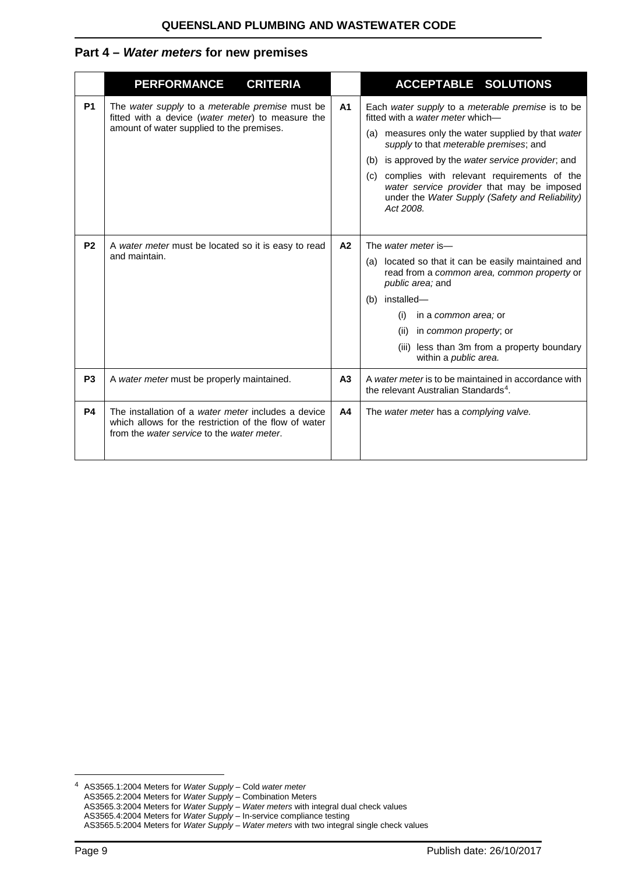## <span id="page-8-0"></span>**Part 4 –** *Water meters* **for new premises**

|                | <b>CRITERIA</b><br><b>PERFORMANCE</b>                                                                                                                      |                | <b>ACCEPTABLE SOLUTIONS</b>                                                                                                                                                                                                                                                                                                                                                                                 |
|----------------|------------------------------------------------------------------------------------------------------------------------------------------------------------|----------------|-------------------------------------------------------------------------------------------------------------------------------------------------------------------------------------------------------------------------------------------------------------------------------------------------------------------------------------------------------------------------------------------------------------|
| <b>P1</b>      | The water supply to a meterable premise must be<br>fitted with a device (water meter) to measure the<br>amount of water supplied to the premises.          | A <sub>1</sub> | Each water supply to a meterable premise is to be<br>fitted with a water meter which-<br>(a) measures only the water supplied by that water<br>supply to that meterable premises; and<br>(b) is approved by the water service provider, and<br>(c) complies with relevant requirements of the<br>water service provider that may be imposed<br>under the Water Supply (Safety and Reliability)<br>Act 2008. |
| P <sub>2</sub> | A water meter must be located so it is easy to read<br>and maintain.                                                                                       | A2             | The water meter is-<br>(a) located so that it can be easily maintained and<br>read from a common area, common property or<br>public area; and<br>(b) installed-<br>in a <i>common area</i> ; or<br>(i)<br>in <i>common property</i> ; or<br>(ii)<br>(iii) less than 3m from a property boundary<br>within a public area.                                                                                    |
| P <sub>3</sub> | A water meter must be properly maintained.                                                                                                                 | A <sub>3</sub> | A water meter is to be maintained in accordance with<br>the relevant Australian Standards <sup>4</sup> .                                                                                                                                                                                                                                                                                                    |
| <b>P4</b>      | The installation of a water meter includes a device<br>which allows for the restriction of the flow of water<br>from the water service to the water meter. | A4             | The water meter has a complying valve.                                                                                                                                                                                                                                                                                                                                                                      |

-

<span id="page-8-1"></span><sup>4</sup> AS3565.1:2004 Meters for *Water Supply* – Cold *water meter* AS3565.2:2004 Meters for *Water Supply* – Combination Meters AS3565.3:2004 Meters for *Water Supply* – *Water meters* with integral dual check values AS3565.4:2004 Meters for *Water Supply* – In-service compliance testing AS3565.5:2004 Meters for *Water Supply* – *Water meters* with two integral single check values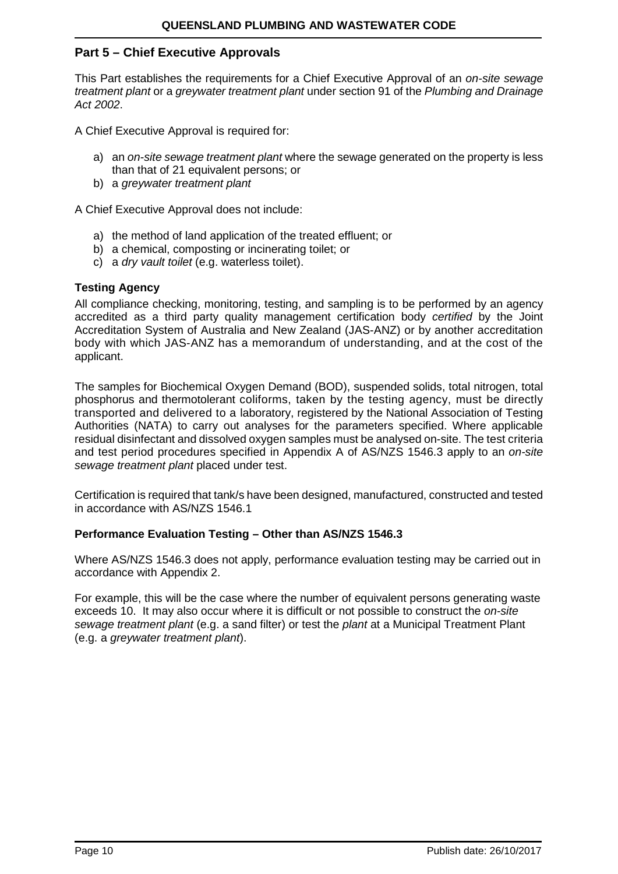## <span id="page-9-0"></span>**Part 5 – Chief Executive Approvals**

This Part establishes the requirements for a Chief Executive Approval of an *on-site sewage treatment plant* or a *greywater treatment plant* under section 91 of the *Plumbing and Drainage Act 2002*.

A Chief Executive Approval is required for:

- a) an *on-site sewage treatment plant* where the sewage generated on the property is less than that of 21 equivalent persons; or
- b) a *greywater treatment plant*

A Chief Executive Approval does not include:

- a) the method of land application of the treated effluent; or
- b) a chemical, composting or incinerating toilet; or
- c) a *dry vault toilet* (e.g. waterless toilet).

#### **Testing Agency**

All compliance checking, monitoring, testing, and sampling is to be performed by an agency accredited as a third party quality management certification body *certified* by the Joint Accreditation System of Australia and New Zealand (JAS-ANZ) or by another accreditation body with which JAS-ANZ has a memorandum of understanding, and at the cost of the applicant.

The samples for Biochemical Oxygen Demand (BOD), suspended solids, total nitrogen, total phosphorus and thermotolerant coliforms, taken by the testing agency, must be directly transported and delivered to a laboratory, registered by the National Association of Testing Authorities (NATA) to carry out analyses for the parameters specified. Where applicable residual disinfectant and dissolved oxygen samples must be analysed on-site. The test criteria and test period procedures specified in Appendix A of AS/NZS 1546.3 apply to an *on-site sewage treatment plant* placed under test.

Certification is required that tank/s have been designed, manufactured, constructed and tested in accordance with AS/NZS 1546.1

#### **Performance Evaluation Testing – Other than AS/NZS 1546.3**

Where AS/NZS 1546.3 does not apply, performance evaluation testing may be carried out in accordance with Appendix 2.

For example, this will be the case where the number of equivalent persons generating waste exceeds 10. It may also occur where it is difficult or not possible to construct the *on-site sewage treatment plant* (e.g. a sand filter) or test the *plant* at a Municipal Treatment Plant (e.g. a *greywater treatment plant*).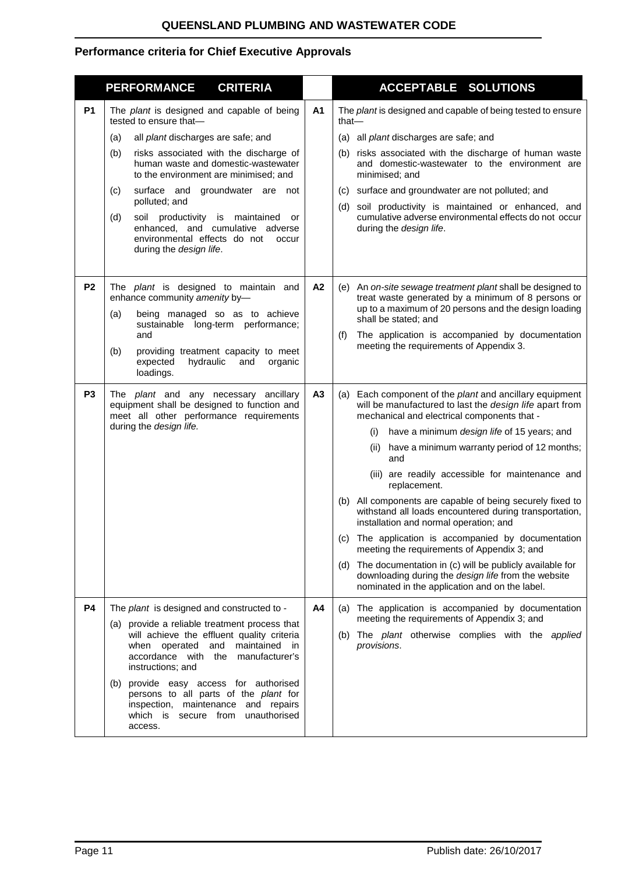## **QUEENSLAND PLUMBING AND WASTEWATER CODE**

## **Performance criteria for Chief Executive Approvals**

|                | <b>PERFORMANCE</b><br><b>CRITERIA</b>                                                                                                                                                        |                | <b>ACCEPTABLE SOLUTIONS</b>                                                                                                                                                                      |
|----------------|----------------------------------------------------------------------------------------------------------------------------------------------------------------------------------------------|----------------|--------------------------------------------------------------------------------------------------------------------------------------------------------------------------------------------------|
| <b>P1</b>      | The plant is designed and capable of being<br>tested to ensure that-<br>all plant discharges are safe; and<br>(a)                                                                            | A <sub>1</sub> | The plant is designed and capable of being tested to ensure<br>that-<br>(a) all <i>plant</i> discharges are safe; and                                                                            |
|                | risks associated with the discharge of<br>(b)<br>human waste and domestic-wastewater<br>to the environment are minimised; and                                                                |                | (b) risks associated with the discharge of human waste<br>and domestic-wastewater to the environment are<br>minimised; and                                                                       |
|                | groundwater are not<br>(c)<br>surface and<br>polluted; and                                                                                                                                   |                | (c) surface and groundwater are not polluted; and                                                                                                                                                |
|                | (d)<br>soil productivity is maintained<br>or<br>enhanced, and cumulative adverse<br>environmental effects do not<br>occur<br>during the design life.                                         |                | (d) soil productivity is maintained or enhanced, and<br>cumulative adverse environmental effects do not occur<br>during the design life.                                                         |
| P <sub>2</sub> | The <i>plant</i> is designed to maintain and<br>enhance community amenity by-<br>(a)<br>being managed so as to achieve                                                                       | A <sub>2</sub> | (e) An on-site sewage treatment plant shall be designed to<br>treat waste generated by a minimum of 8 persons or<br>up to a maximum of 20 persons and the design loading<br>shall be stated; and |
|                | sustainable long-term performance;<br>and<br>providing treatment capacity to meet<br>(b)<br>expected<br>hydraulic<br>organic<br>and<br>loadings.                                             |                | The application is accompanied by documentation<br>(f)<br>meeting the requirements of Appendix 3.                                                                                                |
| P <sub>3</sub> | The <i>plant</i> and any necessary ancillary<br>equipment shall be designed to function and<br>meet all other performance requirements                                                       | A <sub>3</sub> | (a) Each component of the <i>plant</i> and ancillary equipment<br>will be manufactured to last the design life apart from<br>mechanical and electrical components that -                         |
|                | during the design life.                                                                                                                                                                      |                | have a minimum design life of 15 years; and<br>(1)                                                                                                                                               |
|                |                                                                                                                                                                                              |                | (ii) have a minimum warranty period of 12 months;<br>and                                                                                                                                         |
|                |                                                                                                                                                                                              |                | (iii) are readily accessible for maintenance and<br>replacement.                                                                                                                                 |
|                |                                                                                                                                                                                              |                | (b) All components are capable of being securely fixed to<br>withstand all loads encountered during transportation,<br>installation and normal operation; and                                    |
|                |                                                                                                                                                                                              |                | (c) The application is accompanied by documentation<br>meeting the requirements of Appendix 3; and                                                                                               |
|                |                                                                                                                                                                                              |                | (d) The documentation in (c) will be publicly available for<br>downloading during the design life from the website<br>nominated in the application and on the label.                             |
| <b>P4</b>      | The plant is designed and constructed to -                                                                                                                                                   | A4             | (a) The application is accompanied by documentation<br>meeting the requirements of Appendix 3; and                                                                                               |
|                | (a) provide a reliable treatment process that<br>will achieve the effluent quality criteria<br>and maintained in<br>when operated<br>accordance with the manufacturer's<br>instructions; and |                | (b) The plant otherwise complies with the applied<br>provisions.                                                                                                                                 |
|                | (b) provide easy access for authorised<br>persons to all parts of the plant for<br>inspection, maintenance and repairs<br>which is secure from unauthorised<br>access.                       |                |                                                                                                                                                                                                  |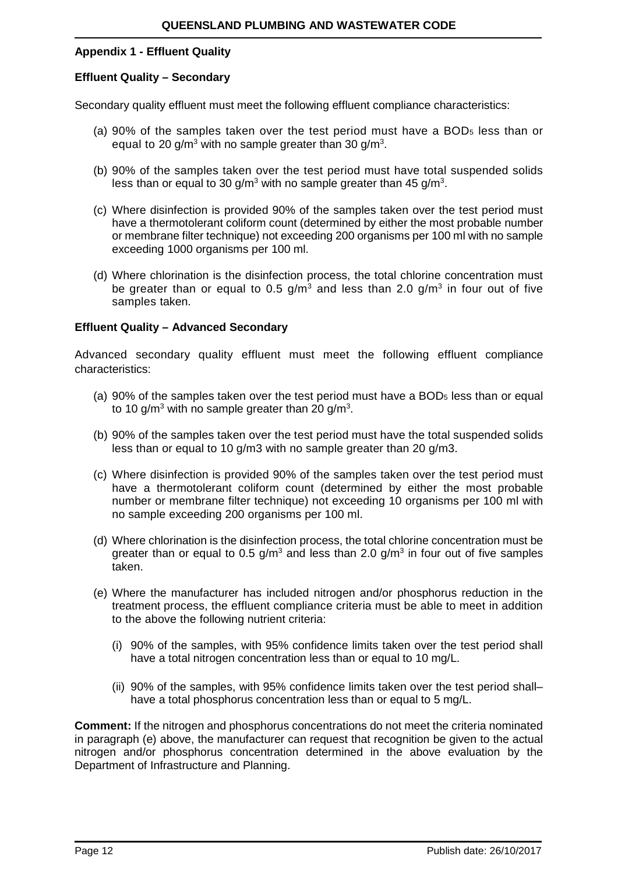#### **Appendix 1 - Effluent Quality**

#### **Effluent Quality – Secondary**

Secondary quality effluent must meet the following effluent compliance characteristics:

- (a) 90% of the samples taken over the test period must have a BOD5 less than or equal to 20 g/m<sup>3</sup> with no sample greater than 30 g/m<sup>3</sup>.
- (b) 90% of the samples taken over the test period must have total suspended solids less than or equal to 30 g/m<sup>3</sup> with no sample greater than 45 g/m<sup>3</sup>.
- (c) Where disinfection is provided 90% of the samples taken over the test period must have a thermotolerant coliform count (determined by either the most probable number or membrane filter technique) not exceeding 200 organisms per 100 ml with no sample exceeding 1000 organisms per 100 ml.
- (d) Where chlorination is the disinfection process, the total chlorine concentration must be greater than or equal to 0.5 g/m<sup>3</sup> and less than 2.0 g/m<sup>3</sup> in four out of five samples taken.

#### **Effluent Quality – Advanced Secondary**

Advanced secondary quality effluent must meet the following effluent compliance characteristics:

- (a) 90% of the samples taken over the test period must have a  $BOD<sub>5</sub>$  less than or equal to 10 g/m<sup>3</sup> with no sample greater than 20 g/m<sup>3</sup>.
- (b) 90% of the samples taken over the test period must have the total suspended solids less than or equal to 10 g/m3 with no sample greater than 20 g/m3.
- (c) Where disinfection is provided 90% of the samples taken over the test period must have a thermotolerant coliform count (determined by either the most probable number or membrane filter technique) not exceeding 10 organisms per 100 ml with no sample exceeding 200 organisms per 100 ml.
- (d) Where chlorination is the disinfection process, the total chlorine concentration must be greater than or equal to 0.5 g/m<sup>3</sup> and less than 2.0 g/m<sup>3</sup> in four out of five samples taken.
- (e) Where the manufacturer has included nitrogen and/or phosphorus reduction in the treatment process, the effluent compliance criteria must be able to meet in addition to the above the following nutrient criteria:
	- (i) 90% of the samples, with 95% confidence limits taken over the test period shall have a total nitrogen concentration less than or equal to 10 mg/L.
	- (ii) 90% of the samples, with 95% confidence limits taken over the test period shall– have a total phosphorus concentration less than or equal to 5 mg/L.

**Comment:** If the nitrogen and phosphorus concentrations do not meet the criteria nominated in paragraph (e) above, the manufacturer can request that recognition be given to the actual nitrogen and/or phosphorus concentration determined in the above evaluation by the Department of Infrastructure and Planning.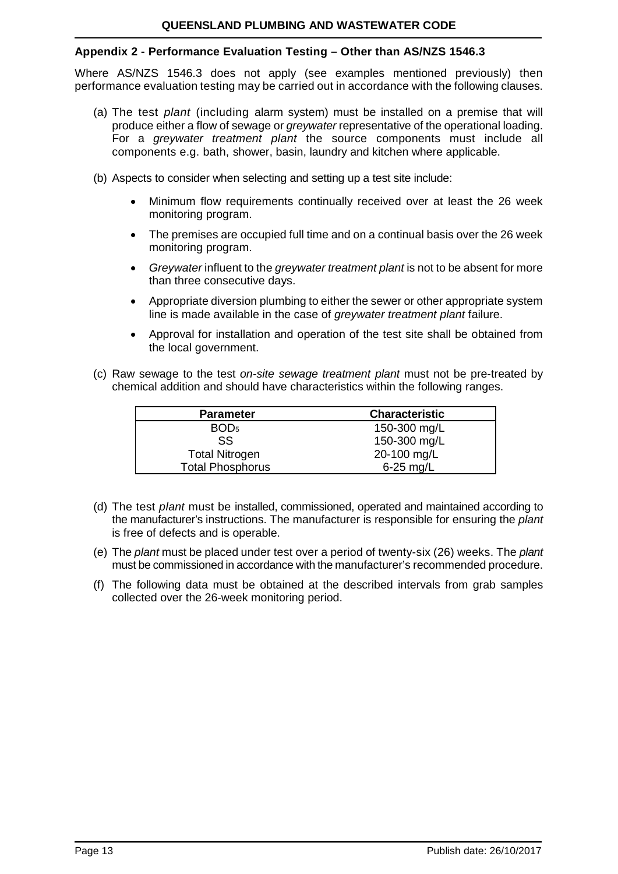## **Appendix 2 - Performance Evaluation Testing – Other than AS/NZS 1546.3**

Where AS/NZS 1546.3 does not apply (see examples mentioned previously) then performance evaluation testing may be carried out in accordance with the following clauses.

- (a) The test *plant* (including alarm system) must be installed on a premise that will produce either a flow of sewage or *greywater* representative of the operational loading. For a *greywater treatment plant* the source components must include all components e.g. bath, shower, basin, laundry and kitchen where applicable.
- (b) Aspects to consider when selecting and setting up a test site include:
	- Minimum flow requirements continually received over at least the 26 week monitoring program.
	- The premises are occupied full time and on a continual basis over the 26 week monitoring program.
	- *Greywater* influent to the *greywater treatment plant* is not to be absent for more than three consecutive days.
	- Appropriate diversion plumbing to either the sewer or other appropriate system line is made available in the case of *greywater treatment plant* failure.
	- Approval for installation and operation of the test site shall be obtained from the local government.
- (c) Raw sewage to the test *on-site sewage treatment plant* must not be pre-treated by chemical addition and should have characteristics within the following ranges.

| <b>Parameter</b>        | <b>Characteristic</b> |
|-------------------------|-----------------------|
| BOD <sub>5</sub>        | 150-300 mg/L          |
| SS                      | 150-300 mg/L          |
| <b>Total Nitrogen</b>   | 20-100 mg/L           |
| <b>Total Phosphorus</b> | $6-25$ mg/L           |

- (d) The test *plant* must be installed, commissioned, operated and maintained according to the manufacturer's instructions. The manufacturer is responsible for ensuring the *plant* is free of defects and is operable.
- (e) The *plant* must be placed under test over a period of twenty-six (26) weeks. The *plant* must be commissioned in accordance with the manufacturer's recommended procedure.
- (f) The following data must be obtained at the described intervals from grab samples collected over the 26-week monitoring period.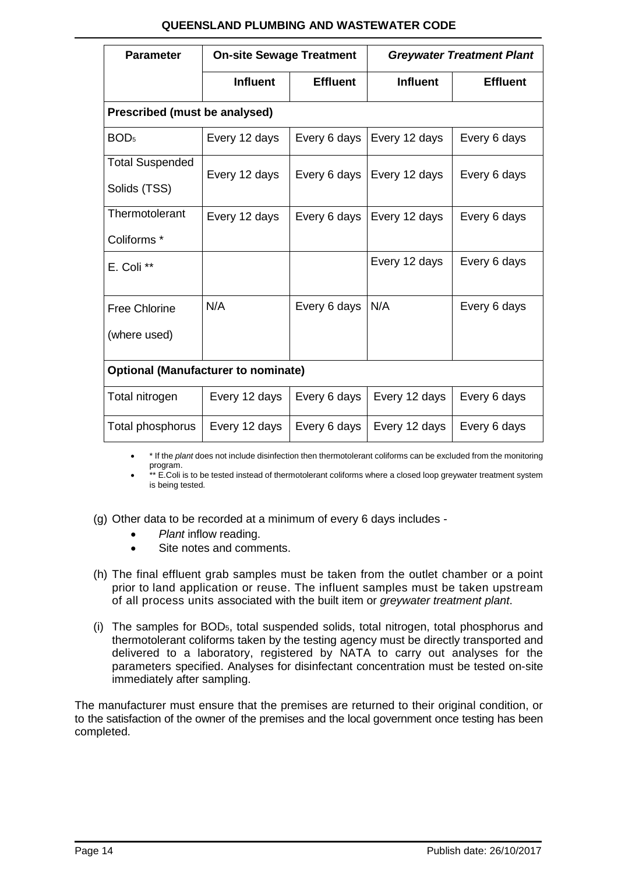## **QUEENSLAND PLUMBING AND WASTEWATER CODE**

| <b>Parameter</b>                           | <b>On-site Sewage Treatment</b> |                 | <b>Greywater Treatment Plant</b> |                 |  |  |  |
|--------------------------------------------|---------------------------------|-----------------|----------------------------------|-----------------|--|--|--|
| <b>Influent</b>                            |                                 | <b>Effluent</b> | <b>Influent</b>                  | <b>Effluent</b> |  |  |  |
| Prescribed (must be analysed)              |                                 |                 |                                  |                 |  |  |  |
| BOD <sub>5</sub>                           | Every 12 days                   | Every 6 days    | Every 12 days                    | Every 6 days    |  |  |  |
| <b>Total Suspended</b><br>Solids (TSS)     | Every 12 days                   | Every 6 days    | Every 12 days                    | Every 6 days    |  |  |  |
| Thermotolerant                             | Every 12 days                   | Every 6 days    | Every 12 days                    | Every 6 days    |  |  |  |
| Coliforms <sup>*</sup>                     |                                 |                 |                                  |                 |  |  |  |
| E. Coli **                                 |                                 |                 | Every 12 days                    | Every 6 days    |  |  |  |
| <b>Free Chlorine</b>                       | N/A                             | Every 6 days    | N/A                              | Every 6 days    |  |  |  |
| (where used)                               |                                 |                 |                                  |                 |  |  |  |
| <b>Optional (Manufacturer to nominate)</b> |                                 |                 |                                  |                 |  |  |  |
| Total nitrogen                             | Every 12 days                   | Every 6 days    | Every 12 days                    | Every 6 days    |  |  |  |
| Total phosphorus                           | Every 12 days                   | Every 6 days    | Every 12 days                    | Every 6 days    |  |  |  |

• \* If the *plant* does not include disinfection then thermotolerant coliforms can be excluded from the monitoring program.

\*\* E.Coli is to be tested instead of thermotolerant coliforms where a closed loop greywater treatment system is being tested.

- (g) Other data to be recorded at a minimum of every 6 days includes
	- *Plant* inflow reading.
	- Site notes and comments.
- (h) The final effluent grab samples must be taken from the outlet chamber or a point prior to land application or reuse. The influent samples must be taken upstream of all process units associated with the built item or *greywater treatment plant*.
- (i) The samples for BOD5, total suspended solids, total nitrogen, total phosphorus and thermotolerant coliforms taken by the testing agency must be directly transported and delivered to a laboratory, registered by NATA to carry out analyses for the parameters specified. Analyses for disinfectant concentration must be tested on-site immediately after sampling.

The manufacturer must ensure that the premises are returned to their original condition, or to the satisfaction of the owner of the premises and the local government once testing has been completed.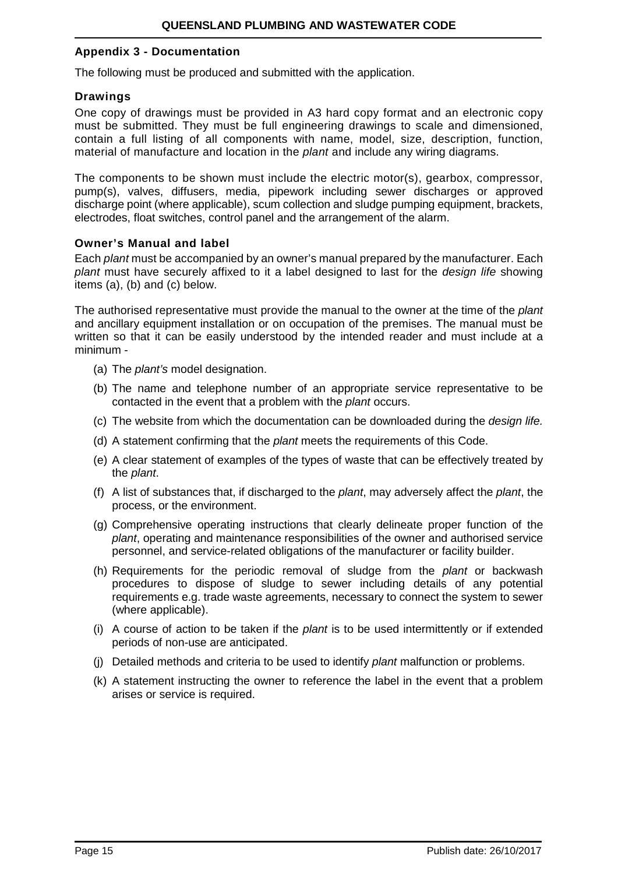#### **Appendix 3 - Documentation**

The following must be produced and submitted with the application.

#### **Drawings**

One copy of drawings must be provided in A3 hard copy format and an electronic copy must be submitted. They must be full engineering drawings to scale and dimensioned, contain a full listing of all components with name, model, size, description, function, material of manufacture and location in the *plant* and include any wiring diagrams.

The components to be shown must include the electric motor(s), gearbox, compressor, pump(s), valves, diffusers, media, pipework including sewer discharges or approved discharge point (where applicable), scum collection and sludge pumping equipment, brackets, electrodes, float switches, control panel and the arrangement of the alarm.

#### **Owner's Manual and label**

Each *plant* must be accompanied by an owner's manual prepared by the manufacturer. Each *plant* must have securely affixed to it a label designed to last for the *design life* showing items (a), (b) and (c) below.

The authorised representative must provide the manual to the owner at the time of the *plant*  and ancillary equipment installation or on occupation of the premises. The manual must be written so that it can be easily understood by the intended reader and must include at a minimum -

- (a) The *plant's* model designation.
- (b) The name and telephone number of an appropriate service representative to be contacted in the event that a problem with the *plant* occurs.
- (c) The website from which the documentation can be downloaded during the *design life.*
- (d) A statement confirming that the *plant* meets the requirements of this Code.
- (e) A clear statement of examples of the types of waste that can be effectively treated by the *plant*.
- (f) A list of substances that, if discharged to the *plant*, may adversely affect the *plant*, the process, or the environment.
- (g) Comprehensive operating instructions that clearly delineate proper function of the *plant*, operating and maintenance responsibilities of the owner and authorised service personnel, and service-related obligations of the manufacturer or facility builder.
- (h) Requirements for the periodic removal of sludge from the *plant* or backwash procedures to dispose of sludge to sewer including details of any potential requirements e.g. trade waste agreements, necessary to connect the system to sewer (where applicable).
- (i) A course of action to be taken if the *plant* is to be used intermittently or if extended periods of non-use are anticipated.
- (j) Detailed methods and criteria to be used to identify *plant* malfunction or problems.
- (k) A statement instructing the owner to reference the label in the event that a problem arises or service is required.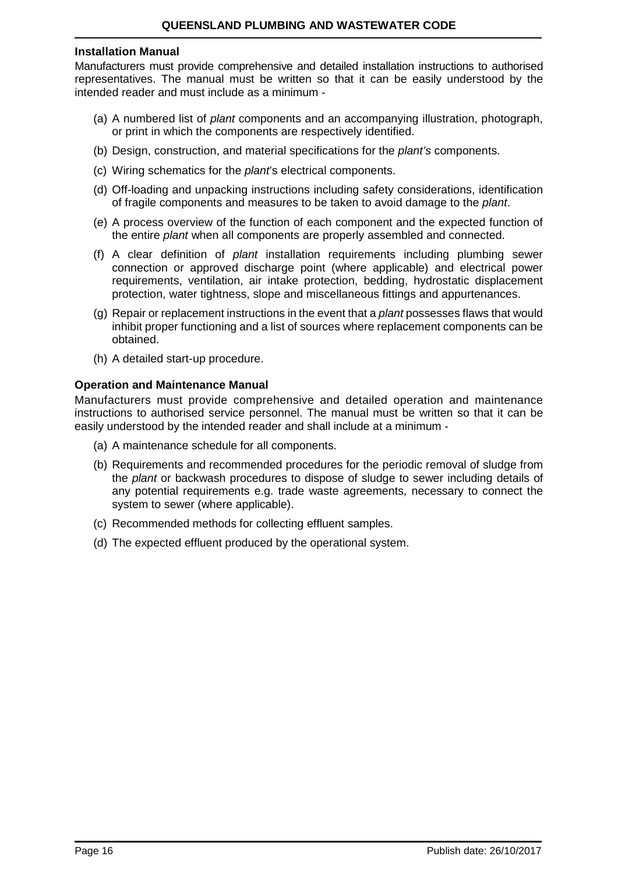#### **Installation Manual**

Manufacturers must provide comprehensive and detailed installation instructions to authorised representatives. The manual must be written so that it can be easily understood by the intended reader and must include as a minimum -

- (a) A numbered list of *plant* components and an accompanying illustration, photograph, or print in which the components are respectively identified.
- (b) Design, construction, and material specifications for the *plant's* components.
- (c) Wiring schematics for the *plant*'s electrical components.
- (d) Off-loading and unpacking instructions including safety considerations, identification of fragile components and measures to be taken to avoid damage to the *plant*.
- (e) A process overview of the function of each component and the expected function of the entire *plant* when all components are properly assembled and connected.
- (f) A clear definition of *plant* installation requirements including plumbing sewer connection or approved discharge point (where applicable) and electrical power requirements, ventilation, air intake protection, bedding, hydrostatic displacement protection, water tightness, slope and miscellaneous fittings and appurtenances.
- (g) Repair or replacement instructions in the event that a *plant* possesses flaws that would inhibit proper functioning and a list of sources where replacement components can be obtained.
- (h) A detailed start-up procedure.

#### **Operation and Maintenance Manual**

Manufacturers must provide comprehensive and detailed operation and maintenance instructions to authorised service personnel. The manual must be written so that it can be easily understood by the intended reader and shall include at a minimum -

- (a) A maintenance schedule for all components.
- (b) Requirements and recommended procedures for the periodic removal of sludge from the *plant* or backwash procedures to dispose of sludge to sewer including details of any potential requirements e.g. trade waste agreements, necessary to connect the system to sewer (where applicable).
- (c) Recommended methods for collecting effluent samples.
- (d) The expected effluent produced by the operational system.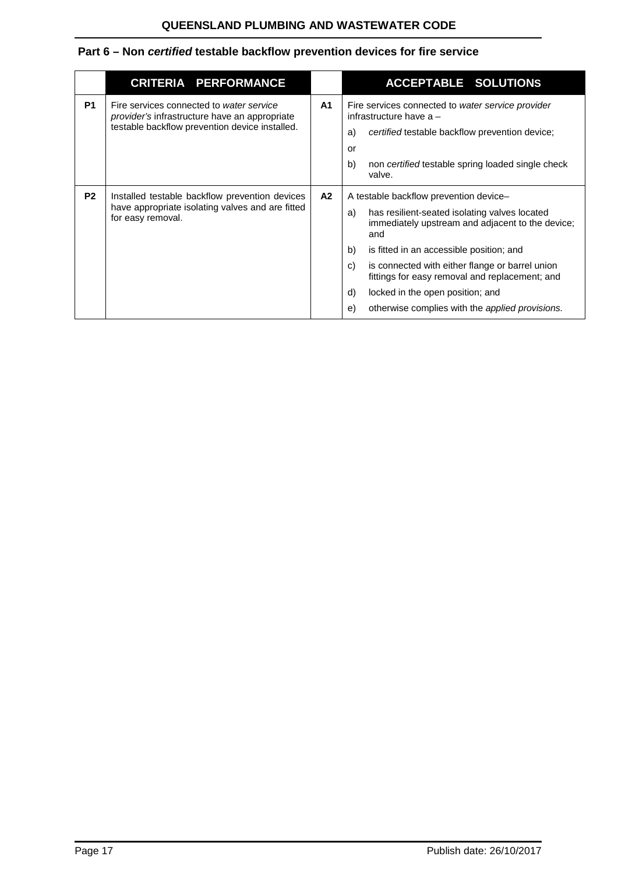## <span id="page-16-0"></span>**Part 6 – Non** *certified* **testable backflow prevention devices for fire service**

|                | <b>CRITERIA PERFORMANCE</b>                                                                                                                        |                | <b>ACCEPTABLE SOLUTIONS</b>                                                                                                                                                                                                                                                                                                                                                                                              |
|----------------|----------------------------------------------------------------------------------------------------------------------------------------------------|----------------|--------------------------------------------------------------------------------------------------------------------------------------------------------------------------------------------------------------------------------------------------------------------------------------------------------------------------------------------------------------------------------------------------------------------------|
| P <sub>1</sub> | Fire services connected to water service<br><i>provider's</i> infrastructure have an appropriate<br>testable backflow prevention device installed. | A <sub>1</sub> | Fire services connected to water service provider<br>infrastructure have a -<br>certified testable backflow prevention device;<br>a)<br>or<br>b)<br>non certified testable spring loaded single check<br>valve.                                                                                                                                                                                                          |
| P <sub>2</sub> | Installed testable backflow prevention devices<br>have appropriate isolating valves and are fitted<br>for easy removal.                            | A2             | A testable backflow prevention device-<br>has resilient-seated isolating valves located<br>a)<br>immediately upstream and adjacent to the device;<br>and<br>b)<br>is fitted in an accessible position; and<br>C)<br>is connected with either flange or barrel union<br>fittings for easy removal and replacement; and<br>d)<br>locked in the open position; and<br>otherwise complies with the applied provisions.<br>e) |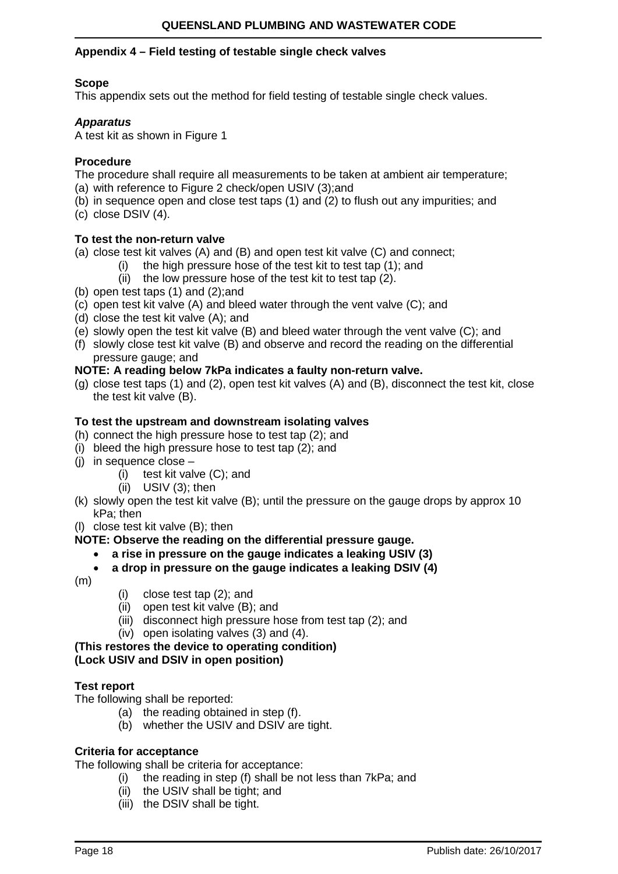## **Appendix 4 – Field testing of testable single check valves**

## **Scope**

This appendix sets out the method for field testing of testable single check values.

#### *Apparatus*

A test kit as shown in Figure 1

## **Procedure**

The procedure shall require all measurements to be taken at ambient air temperature;

- (a) with reference to Figure 2 check/open USIV (3); and
- (b) in sequence open and close test taps (1) and (2) to flush out any impurities; and
- (c) close DSIV (4).

## **To test the non-return valve**

(a) close test kit valves (A) and (B) and open test kit valve (C) and connect;

- (i) the high pressure hose of the test kit to test tap (1); and
- (ii) the low pressure hose of the test kit to test tap (2).
- (b) open test taps (1) and (2);and
- (c) open test kit valve (A) and bleed water through the vent valve (C); and
- (d) close the test kit valve (A); and
- (e) slowly open the test kit valve (B) and bleed water through the vent valve (C); and
- (f) slowly close test kit valve (B) and observe and record the reading on the differential pressure gauge; and

## **NOTE: A reading below 7kPa indicates a faulty non-return valve.**

(g) close test taps (1) and (2), open test kit valves (A) and (B), disconnect the test kit, close the test kit valve (B).

## **To test the upstream and downstream isolating valves**

- (h) connect the high pressure hose to test tap (2); and
- (i) bleed the high pressure hose to test tap (2); and
- (i) in sequence close  $-$ 
	- (i) test kit valve (C); and
	- (ii) USIV (3); then
- (k) slowly open the test kit valve (B); until the pressure on the gauge drops by approx 10 kPa; then

(l) close test kit valve (B); then

## **NOTE: Observe the reading on the differential pressure gauge.**

- **a rise in pressure on the gauge indicates a leaking USIV (3)**
- **a drop in pressure on the gauge indicates a leaking DSIV (4)**
- $(m)$
- (i) close test tap (2); and
- (ii) open test kit valve (B); and
- (iii) disconnect high pressure hose from test tap (2); and
- (iv) open isolating valves (3) and (4).

#### **(This restores the device to operating condition) (Lock USIV and DSIV in open position)**

## **Test report**

The following shall be reported:

- (a) the reading obtained in step (f).
- (b) whether the USIV and DSIV are tight.

#### **Criteria for acceptance**

The following shall be criteria for acceptance:

- (i) the reading in step (f) shall be not less than 7kPa; and
- (ii) the USIV shall be tight; and
- (iii) the DSIV shall be tight.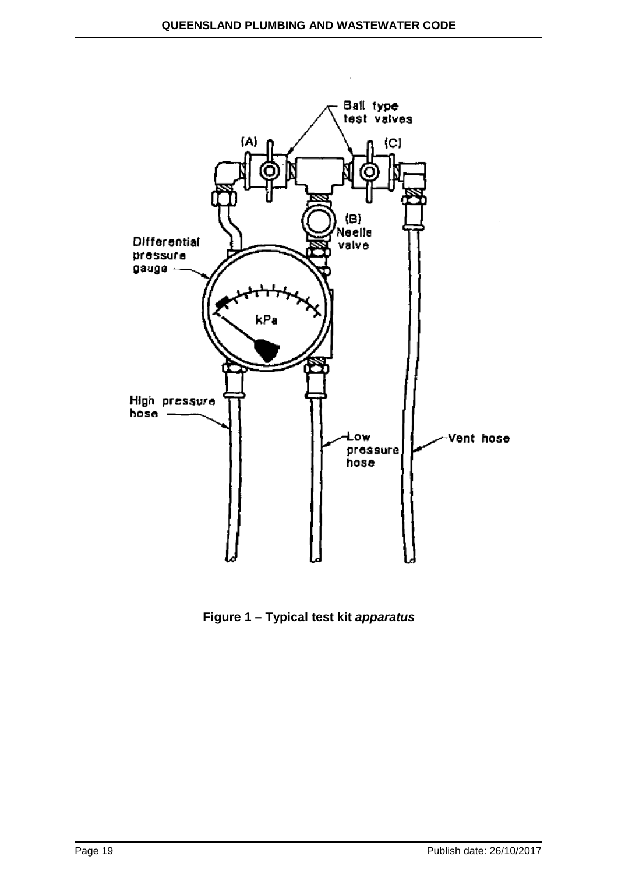

**Figure 1 – Typical test kit** *apparatus*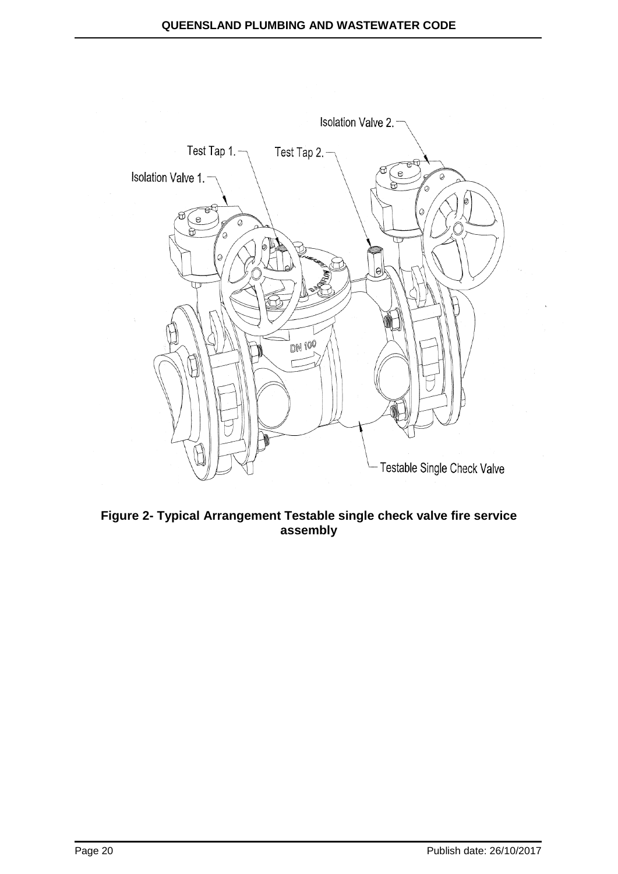

**Figure 2- Typical Arrangement Testable single check valve fire service assembly**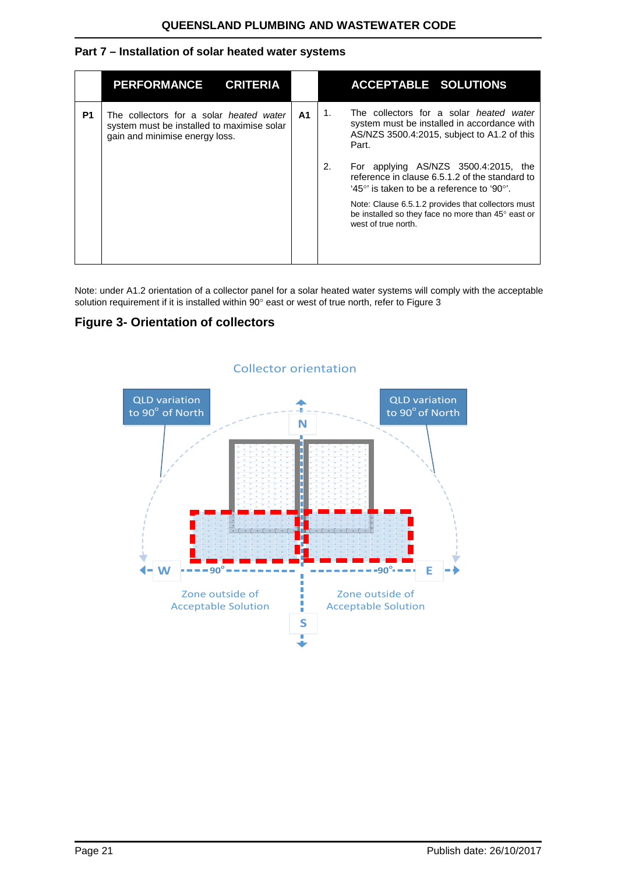## <span id="page-20-0"></span>**Part 7 – Installation of solar heated water systems**

|                | <b>PERFORMANCE</b><br><b>CRITERIA</b>                                                                                   |    |    | <b>ACCEPTABLE SOLUTIONS</b>                                                                                                                    |
|----------------|-------------------------------------------------------------------------------------------------------------------------|----|----|------------------------------------------------------------------------------------------------------------------------------------------------|
| P <sub>1</sub> | The collectors for a solar heated water<br>system must be installed to maximise solar<br>gain and minimise energy loss. | A1 | 1. | The collectors for a solar heated water<br>system must be installed in accordance with<br>AS/NZS 3500.4:2015, subject to A1.2 of this<br>Part. |
|                |                                                                                                                         |    | 2. | For applying AS/NZS 3500.4:2015, the<br>reference in clause 6.5.1.2 of the standard to<br>'45°' is taken to be a reference to '90°'.           |
|                |                                                                                                                         |    |    | Note: Clause 6.5.1.2 provides that collectors must<br>be installed so they face no more than 45° east or<br>west of true north.                |

Note: under A1.2 orientation of a collector panel for a solar heated water systems will comply with the acceptable solution requirement if it is installed within 90° east or west of true north, refer to Figure 3

## **Figure 3- Orientation of collectors**



#### Collector orientation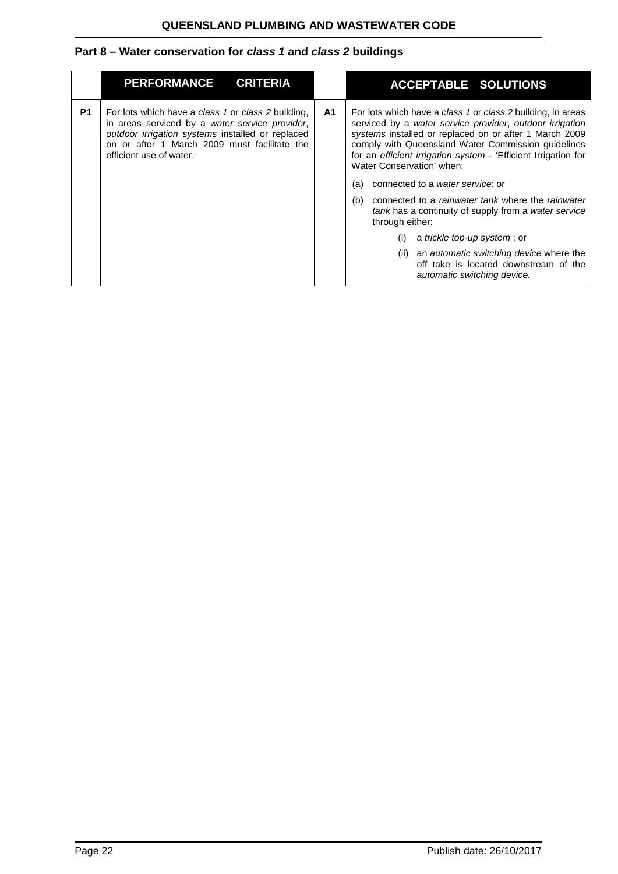## <span id="page-21-0"></span>**Part 8 – Water conservation for** *class 1* **and** *class 2* **buildings**

|           | <b>PERFORMANCE</b><br><b>CRITERIA</b>                                                                                                                                                                                               |    | <b>ACCEPTABLE SOLUTIONS</b>                                                                                                                                                                                                                                                                                                                                                                                                                                                                                                                                                                                                                                                                                    |
|-----------|-------------------------------------------------------------------------------------------------------------------------------------------------------------------------------------------------------------------------------------|----|----------------------------------------------------------------------------------------------------------------------------------------------------------------------------------------------------------------------------------------------------------------------------------------------------------------------------------------------------------------------------------------------------------------------------------------------------------------------------------------------------------------------------------------------------------------------------------------------------------------------------------------------------------------------------------------------------------------|
| <b>P1</b> | For lots which have a class 1 or class 2 building,<br>in areas serviced by a water service provider,<br>outdoor irrigation systems installed or replaced<br>on or after 1 March 2009 must facilitate the<br>efficient use of water. | A1 | For lots which have a class 1 or class 2 building, in areas<br>serviced by a water service provider, outdoor irrigation<br>systems installed or replaced on or after 1 March 2009<br>comply with Queensland Water Commission guidelines<br>for an efficient irrigation system - 'Efficient Irrigation for<br>Water Conservation' when:<br>connected to a water service; or<br>(a)<br>connected to a <i>rainwater tank</i> where the <i>rainwater</i><br>(b)<br>tank has a continuity of supply from a water service<br>through either:<br>a trickle top-up system; or<br>(i)<br>an <i>automatic switching device</i> where the<br>(ii)<br>off take is located downstream of the<br>automatic switching device. |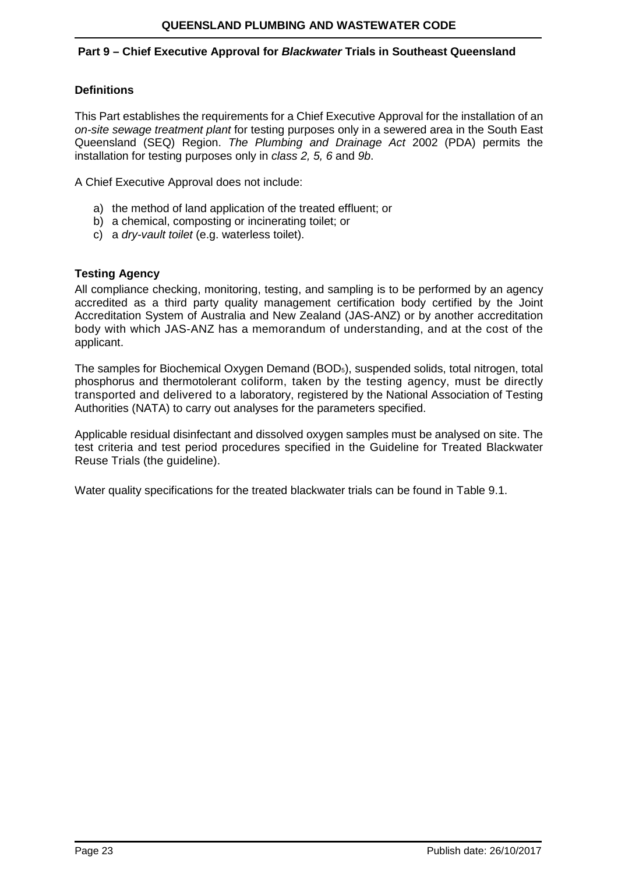#### <span id="page-22-0"></span>**Part 9 – Chief Executive Approval for** *Blackwater* **Trials in Southeast Queensland**

## **Definitions**

This Part establishes the requirements for a Chief Executive Approval for the installation of an *on-site sewage treatment plant* for testing purposes only in a sewered area in the South East Queensland (SEQ) Region. *The Plumbing and Drainage Act* 2002 (PDA) permits the installation for testing purposes only in *class 2, 5, 6* and *9b*.

A Chief Executive Approval does not include:

- a) the method of land application of the treated effluent; or
- b) a chemical, composting or incinerating toilet; or
- c) a *dry-vault toilet* (e.g. waterless toilet).

## **Testing Agency**

All compliance checking, monitoring, testing, and sampling is to be performed by an agency accredited as a third party quality management certification body certified by the Joint Accreditation System of Australia and New Zealand (JAS-ANZ) or by another accreditation body with which JAS-ANZ has a memorandum of understanding, and at the cost of the applicant.

The samples for Biochemical Oxygen Demand (BOD5), suspended solids, total nitrogen, total phosphorus and thermotolerant coliform, taken by the testing agency, must be directly transported and delivered to a laboratory, registered by the National Association of Testing Authorities (NATA) to carry out analyses for the parameters specified.

Applicable residual disinfectant and dissolved oxygen samples must be analysed on site. The test criteria and test period procedures specified in the Guideline for Treated Blackwater Reuse Trials (the guideline).

Water quality specifications for the treated blackwater trials can be found in Table 9.1.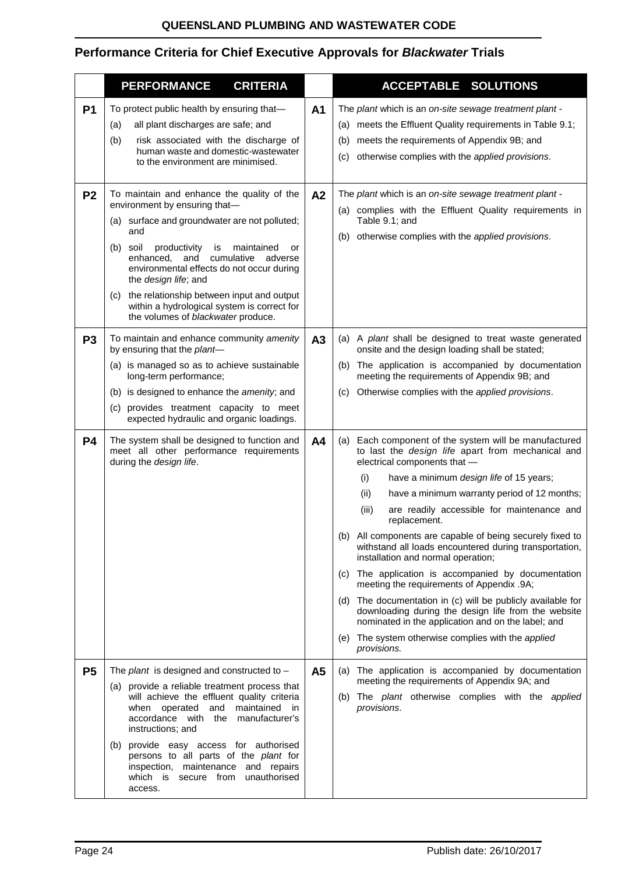# **Performance Criteria for Chief Executive Approvals for** *Blackwater* **Trials**

|                | <b>PERFORMANCE</b><br><b>CRITERIA</b>                                                                                                                                                                                                                                                                                                                                                                                                                   |                | <b>ACCEPTABLE SOLUTIONS</b>                                                                                                                                                                                                                                                                                                                                                                                                                                                                                                                                                                                                                                                                                                                                                                                                                   |
|----------------|---------------------------------------------------------------------------------------------------------------------------------------------------------------------------------------------------------------------------------------------------------------------------------------------------------------------------------------------------------------------------------------------------------------------------------------------------------|----------------|-----------------------------------------------------------------------------------------------------------------------------------------------------------------------------------------------------------------------------------------------------------------------------------------------------------------------------------------------------------------------------------------------------------------------------------------------------------------------------------------------------------------------------------------------------------------------------------------------------------------------------------------------------------------------------------------------------------------------------------------------------------------------------------------------------------------------------------------------|
| P <sub>1</sub> | To protect public health by ensuring that-<br>all plant discharges are safe; and<br>(a)<br>(b)<br>risk associated with the discharge of<br>human waste and domestic-wastewater<br>to the environment are minimised.                                                                                                                                                                                                                                     | A <sub>1</sub> | The plant which is an on-site sewage treatment plant -<br>(a) meets the Effluent Quality requirements in Table 9.1;<br>meets the requirements of Appendix 9B; and<br>(b)<br>otherwise complies with the applied provisions.<br>(C)                                                                                                                                                                                                                                                                                                                                                                                                                                                                                                                                                                                                            |
| P <sub>2</sub> | To maintain and enhance the quality of the<br>environment by ensuring that-<br>(a) surface and groundwater are not polluted;<br>and<br>soil<br>productivity<br>maintained<br>(b)<br>is<br>or<br>enhanced,<br>and<br>cumulative<br>adverse<br>environmental effects do not occur during<br>the design life; and<br>the relationship between input and output<br>(C)<br>within a hydrological system is correct for<br>the volumes of blackwater produce. | A2             | The plant which is an on-site sewage treatment plant -<br>(a) complies with the Effluent Quality requirements in<br>Table 9.1; and<br>(b) otherwise complies with the applied provisions.                                                                                                                                                                                                                                                                                                                                                                                                                                                                                                                                                                                                                                                     |
| P <sub>3</sub> | To maintain and enhance community amenity<br>by ensuring that the plant-<br>(a) is managed so as to achieve sustainable<br>long-term performance;<br>(b) is designed to enhance the amenity; and<br>(c) provides treatment capacity to meet<br>expected hydraulic and organic loadings.                                                                                                                                                                 | A3             | (a) A plant shall be designed to treat waste generated<br>onsite and the design loading shall be stated;<br>(b) The application is accompanied by documentation<br>meeting the requirements of Appendix 9B; and<br>Otherwise complies with the applied provisions.<br>(C)                                                                                                                                                                                                                                                                                                                                                                                                                                                                                                                                                                     |
| <b>P4</b>      | The system shall be designed to function and<br>meet all other performance requirements<br>during the design life.                                                                                                                                                                                                                                                                                                                                      | A <sub>4</sub> | (a) Each component of the system will be manufactured<br>to last the design life apart from mechanical and<br>electrical components that -<br>(i)<br>have a minimum design life of 15 years;<br>(ii)<br>have a minimum warranty period of 12 months;<br>are readily accessible for maintenance and<br>(iii)<br>replacement.<br>(b) All components are capable of being securely fixed to<br>withstand all loads encountered during transportation,<br>installation and normal operation;<br>(c) The application is accompanied by documentation<br>meeting the requirements of Appendix .9A;<br>(d) The documentation in (c) will be publicly available for<br>downloading during the design life from the website<br>nominated in the application and on the label; and<br>(e) The system otherwise complies with the applied<br>provisions. |
| <b>P5</b>      | The <i>plant</i> is designed and constructed to $-$<br>(a) provide a reliable treatment process that<br>will achieve the effluent quality criteria<br>maintained in<br>when operated<br>and<br>accordance with the<br>manufacturer's<br>instructions; and<br>(b) provide easy access for authorised<br>persons to all parts of the plant for<br>inspection, maintenance and repairs<br>which is secure from unauthorised<br>access.                     | A <sub>5</sub> | (a) The application is accompanied by documentation<br>meeting the requirements of Appendix 9A; and<br>(b) The plant otherwise complies with the applied<br>provisions.                                                                                                                                                                                                                                                                                                                                                                                                                                                                                                                                                                                                                                                                       |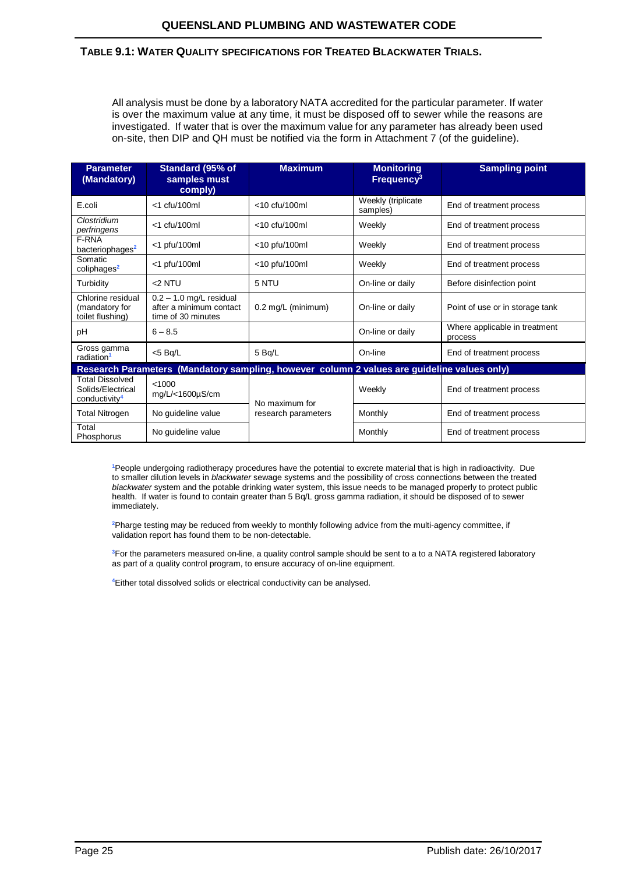#### **TABLE 9.1: WATER QUALITY SPECIFICATIONS FOR TREATED BLACKWATER TRIALS.**

All analysis must be done by a laboratory NATA accredited for the particular parameter. If water is over the maximum value at any time, it must be disposed off to sewer while the reasons are investigated. If water that is over the maximum value for any parameter has already been used on-site, then DIP and QH must be notified via the form in Attachment 7 (of the guideline).

| <b>Parameter</b><br>(Mandatory)                                          | Standard (95% of<br>samples must<br>comply)                                | <b>Maximum</b>                                                                              | <b>Monitoring</b><br>Frequency <sup>3</sup> | <b>Sampling point</b>                    |
|--------------------------------------------------------------------------|----------------------------------------------------------------------------|---------------------------------------------------------------------------------------------|---------------------------------------------|------------------------------------------|
| E.coli                                                                   | <1 cfu/100ml                                                               | $<$ 10 cfu/100ml                                                                            | Weekly (triplicate<br>samples)              | End of treatment process                 |
| Clostridium<br>perfringens                                               | $<$ 1 cfu/100ml                                                            | $<$ 10 cfu/100ml                                                                            | Weekly                                      | End of treatment process                 |
| F-RNA<br>bacteriophages <sup>2</sup>                                     | $<$ 1 pfu/100ml                                                            | $<$ 10 pfu/100ml                                                                            | Weekly                                      | End of treatment process                 |
| Somatic<br>coliphages <sup>2</sup>                                       | $<$ 1 pfu/100ml                                                            | <10 pfu/100ml                                                                               | Weekly                                      | End of treatment process                 |
| Turbidity                                                                | <2 NTU                                                                     | 5 NTU                                                                                       | On-line or daily                            | Before disinfection point                |
| Chlorine residual<br>(mandatory for<br>toilet flushing)                  | $0.2 - 1.0$ mg/L residual<br>after a minimum contact<br>time of 30 minutes | $0.2 \text{ mg/L}$ (minimum)                                                                | On-line or daily                            | Point of use or in storage tank          |
| pH                                                                       | $6 - 8.5$                                                                  |                                                                                             | On-line or daily                            | Where applicable in treatment<br>process |
| Gross gamma<br>radiation <sup>1</sup>                                    | $<$ 5 Bq/L                                                                 | 5 Bq/L                                                                                      | On-line                                     | End of treatment process                 |
|                                                                          |                                                                            | Research Parameters (Mandatory sampling, however column 2 values are guideline values only) |                                             |                                          |
| <b>Total Dissolved</b><br>Solids/Electrical<br>conductivity <sup>4</sup> | < 1000<br>mg/L/<1600µS/cm                                                  | No maximum for                                                                              | Weekly                                      | End of treatment process                 |
| <b>Total Nitrogen</b>                                                    | No guideline value                                                         | research parameters                                                                         | Monthly                                     | End of treatment process                 |
| Total<br>Phosphorus                                                      | No guideline value                                                         |                                                                                             | Monthly                                     | End of treatment process                 |

**1** People undergoing radiotherapy procedures have the potential to excrete material that is high in radioactivity. Due to smaller dilution levels in *blackwater* sewage systems and the possibility of cross connections between the treated *blackwater* system and the potable drinking water system, this issue needs to be managed properly to protect public health. If water is found to contain greater than 5 Bq/L gross gamma radiation, it should be disposed of to sewer immediately.

**2** Pharge testing may be reduced from weekly to monthly following advice from the multi-agency committee, if validation report has found them to be non-detectable.

**3** For the parameters measured on-line, a quality control sample should be sent to a to a NATA registered laboratory as part of a quality control program, to ensure accuracy of on-line equipment.

**4** Either total dissolved solids or electrical conductivity can be analysed.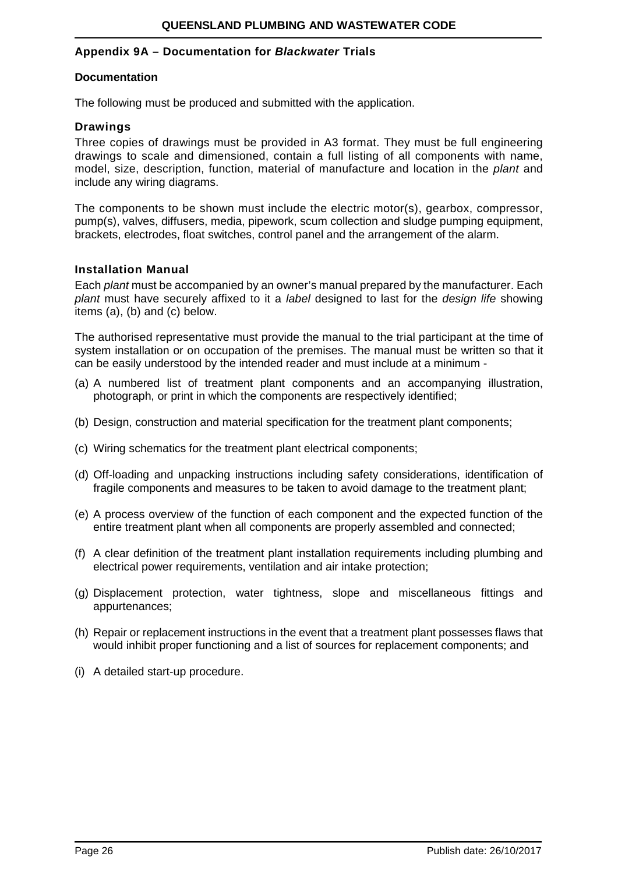#### **Appendix 9A – Documentation for** *Blackwater* **Trials**

#### **Documentation**

The following must be produced and submitted with the application.

#### **Drawings**

Three copies of drawings must be provided in A3 format. They must be full engineering drawings to scale and dimensioned, contain a full listing of all components with name, model, size, description, function, material of manufacture and location in the *plant* and include any wiring diagrams.

The components to be shown must include the electric motor(s), gearbox, compressor, pump(s), valves, diffusers, media, pipework, scum collection and sludge pumping equipment, brackets, electrodes, float switches, control panel and the arrangement of the alarm.

#### **Installation Manual**

Each *plant* must be accompanied by an owner's manual prepared by the manufacturer. Each *plant* must have securely affixed to it a *label* designed to last for the *design life* showing items (a), (b) and (c) below.

The authorised representative must provide the manual to the trial participant at the time of system installation or on occupation of the premises. The manual must be written so that it can be easily understood by the intended reader and must include at a minimum -

- (a) A numbered list of treatment plant components and an accompanying illustration, photograph, or print in which the components are respectively identified;
- (b) Design, construction and material specification for the treatment plant components;
- (c) Wiring schematics for the treatment plant electrical components;
- (d) Off-loading and unpacking instructions including safety considerations, identification of fragile components and measures to be taken to avoid damage to the treatment plant;
- (e) A process overview of the function of each component and the expected function of the entire treatment plant when all components are properly assembled and connected;
- (f) A clear definition of the treatment plant installation requirements including plumbing and electrical power requirements, ventilation and air intake protection;
- (g) Displacement protection, water tightness, slope and miscellaneous fittings and appurtenances;
- (h) Repair or replacement instructions in the event that a treatment plant possesses flaws that would inhibit proper functioning and a list of sources for replacement components; and
- (i) A detailed start-up procedure.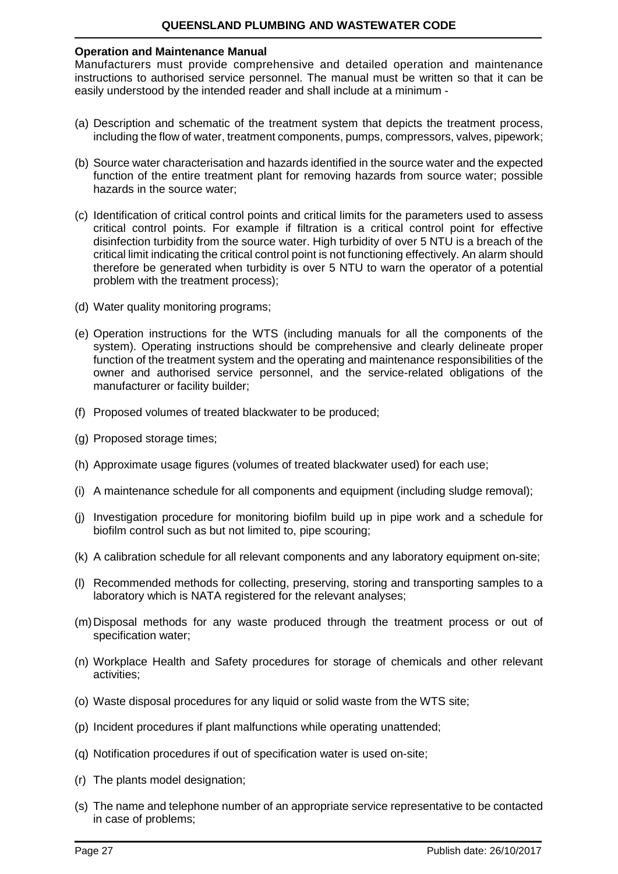## **QUEENSLAND PLUMBING AND WASTEWATER CODE**

#### **Operation and Maintenance Manual**

Manufacturers must provide comprehensive and detailed operation and maintenance instructions to authorised service personnel. The manual must be written so that it can be easily understood by the intended reader and shall include at a minimum -

- (a) Description and schematic of the treatment system that depicts the treatment process, including the flow of water, treatment components, pumps, compressors, valves, pipework;
- (b) Source water characterisation and hazards identified in the source water and the expected function of the entire treatment plant for removing hazards from source water; possible hazards in the source water;
- (c) Identification of critical control points and critical limits for the parameters used to assess critical control points. For example if filtration is a critical control point for effective disinfection turbidity from the source water. High turbidity of over 5 NTU is a breach of the critical limit indicating the critical control point is not functioning effectively. An alarm should therefore be generated when turbidity is over 5 NTU to warn the operator of a potential problem with the treatment process);
- (d) Water quality monitoring programs;
- (e) Operation instructions for the WTS (including manuals for all the components of the system). Operating instructions should be comprehensive and clearly delineate proper function of the treatment system and the operating and maintenance responsibilities of the owner and authorised service personnel, and the service-related obligations of the manufacturer or facility builder;
- (f) Proposed volumes of treated blackwater to be produced;
- (g) Proposed storage times;
- (h) Approximate usage figures (volumes of treated blackwater used) for each use;
- (i) A maintenance schedule for all components and equipment (including sludge removal);
- (j) Investigation procedure for monitoring biofilm build up in pipe work and a schedule for biofilm control such as but not limited to, pipe scouring;
- (k) A calibration schedule for all relevant components and any laboratory equipment on-site;
- (l) Recommended methods for collecting, preserving, storing and transporting samples to a laboratory which is NATA registered for the relevant analyses;
- (m)Disposal methods for any waste produced through the treatment process or out of specification water;
- (n) Workplace Health and Safety procedures for storage of chemicals and other relevant activities;
- (o) Waste disposal procedures for any liquid or solid waste from the WTS site;
- (p) Incident procedures if plant malfunctions while operating unattended;
- (q) Notification procedures if out of specification water is used on-site;
- (r) The plants model designation;
- (s) The name and telephone number of an appropriate service representative to be contacted in case of problems;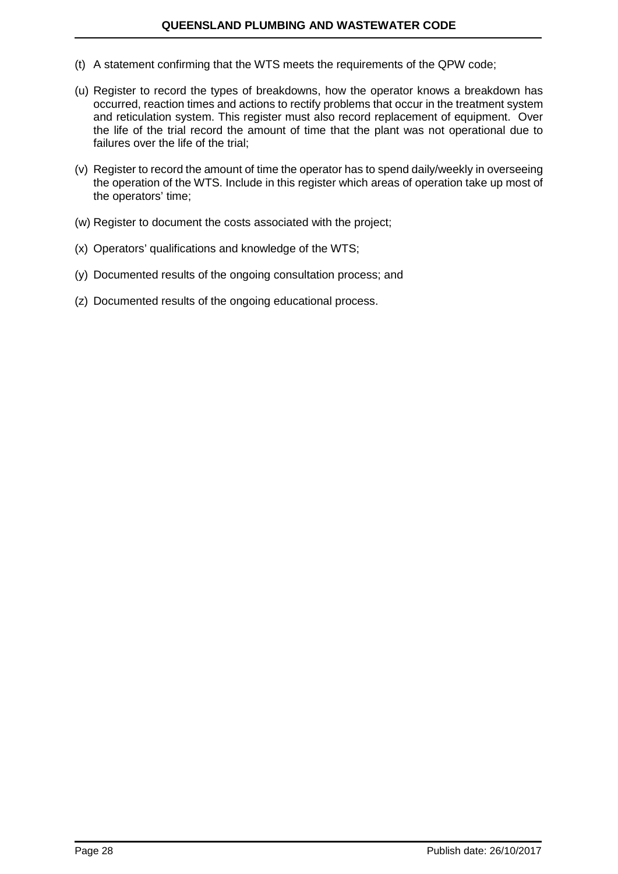- (t) A statement confirming that the WTS meets the requirements of the QPW code;
- (u) Register to record the types of breakdowns, how the operator knows a breakdown has occurred, reaction times and actions to rectify problems that occur in the treatment system and reticulation system. This register must also record replacement of equipment. Over the life of the trial record the amount of time that the plant was not operational due to failures over the life of the trial;
- (v) Register to record the amount of time the operator has to spend daily/weekly in overseeing the operation of the WTS. Include in this register which areas of operation take up most of the operators' time;
- (w) Register to document the costs associated with the project;
- (x) Operators' qualifications and knowledge of the WTS;
- (y) Documented results of the ongoing consultation process; and
- (z) Documented results of the ongoing educational process.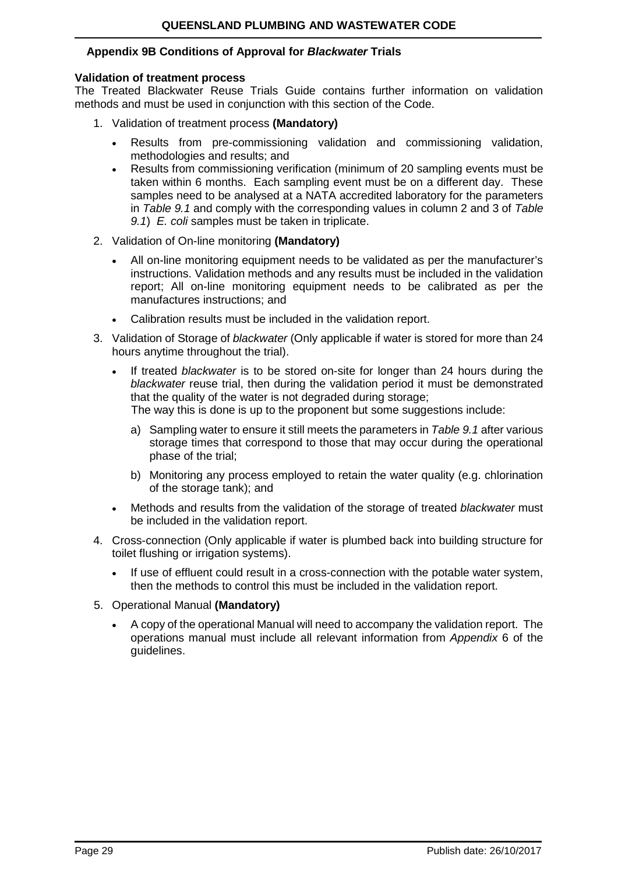## **Appendix 9B Conditions of Approval for** *Blackwater* **Trials**

#### **Validation of treatment process**

The Treated Blackwater Reuse Trials Guide contains further information on validation methods and must be used in conjunction with this section of the Code.

- 1. Validation of treatment process **(Mandatory)**
	- Results from pre-commissioning validation and commissioning validation, methodologies and results; and
	- Results from commissioning verification (minimum of 20 sampling events must be taken within 6 months. Each sampling event must be on a different day. These samples need to be analysed at a NATA accredited laboratory for the parameters in *Table 9.1* and comply with the corresponding values in column 2 and 3 of *Table 9.1*) *E. coli* samples must be taken in triplicate.
- 2. Validation of On-line monitoring **(Mandatory)**
	- All on-line monitoring equipment needs to be validated as per the manufacturer's instructions. Validation methods and any results must be included in the validation report; All on-line monitoring equipment needs to be calibrated as per the manufactures instructions; and
	- Calibration results must be included in the validation report.
- 3. Validation of Storage of *blackwater* (Only applicable if water is stored for more than 24 hours anytime throughout the trial).
	- If treated *blackwater* is to be stored on-site for longer than 24 hours during the *blackwater* reuse trial, then during the validation period it must be demonstrated that the quality of the water is not degraded during storage; The way this is done is up to the proponent but some suggestions include:
		- a) Sampling water to ensure it still meets the parameters in *Table 9.1* after various storage times that correspond to those that may occur during the operational phase of the trial;
		- b) Monitoring any process employed to retain the water quality (e.g. chlorination of the storage tank); and
	- Methods and results from the validation of the storage of treated *blackwater* must be included in the validation report.
- 4. Cross-connection (Only applicable if water is plumbed back into building structure for toilet flushing or irrigation systems).
	- If use of effluent could result in a cross-connection with the potable water system, then the methods to control this must be included in the validation report.
- 5. Operational Manual **(Mandatory)**
	- A copy of the operational Manual will need to accompany the validation report. The operations manual must include all relevant information from *Appendix* 6 of the guidelines.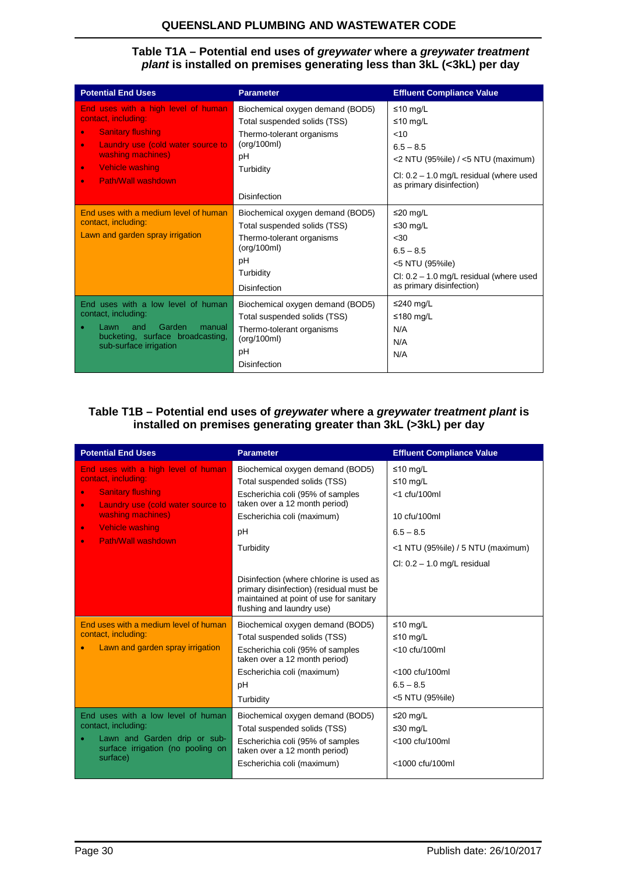## **QUEENSLAND PLUMBING AND WASTEWATER CODE**

#### **Table T1A – Potential end uses of** *greywater* **where a** *greywater treatment plant* **is installed on premises generating less than 3kL (<3kL) per day**

| <b>Potential End Uses</b>                                                                                                                                                                                                                     | <b>Parameter</b>                                                                                                                                       | <b>Effluent Compliance Value</b>                                                                                                                             |
|-----------------------------------------------------------------------------------------------------------------------------------------------------------------------------------------------------------------------------------------------|--------------------------------------------------------------------------------------------------------------------------------------------------------|--------------------------------------------------------------------------------------------------------------------------------------------------------------|
| End uses with a high level of human<br>contact, including:<br><b>Sanitary flushing</b><br>$\bullet$<br>Laundry use (cold water source to<br>$\bullet$<br>washing machines)<br>Vehicle washing<br>$\bullet$<br>Path/Wall washdown<br>$\bullet$ | Biochemical oxygen demand (BOD5)<br>Total suspended solids (TSS)<br>Thermo-tolerant organisms<br>(org/100ml)<br>pH<br>Turbidity<br><b>Disinfection</b> | ≤10 mg/L<br>≤10 mg/L<br>$<$ 10<br>$6.5 - 8.5$<br><2 NTU (95%ile) / <5 NTU (maximum)<br>CI: $0.2 - 1.0$ mg/L residual (where used<br>as primary disinfection) |
| End uses with a medium level of human<br>contact, including:<br>Lawn and garden spray irrigation                                                                                                                                              | Biochemical oxygen demand (BOD5)<br>Total suspended solids (TSS)<br>Thermo-tolerant organisms<br>(org/100ml)<br>рH<br>Turbidity<br><b>Disinfection</b> | ≤20 mg/L<br>≤30 mg/L<br>$30$<br>$6.5 - 8.5$<br><5 NTU (95%ile)<br>CI: $0.2 - 1.0$ mg/L residual (where used<br>as primary disinfection)                      |
| End uses with a low level of human<br>contact, including:<br>Garden<br>and<br>manual<br>Lawn<br>bucketing, surface broadcasting,<br>sub-surface irrigation                                                                                    | Biochemical oxygen demand (BOD5)<br>Total suspended solids (TSS)<br>Thermo-tolerant organisms<br>(org/100ml)<br>pH<br><b>Disinfection</b>              | ≤240 mg/L<br>≤180 mg/L<br>N/A<br>N/A<br>N/A                                                                                                                  |

## **Table T1B – Potential end uses of** *greywater* **where a** *greywater treatment plant* **is installed on premises generating greater than 3kL (>3kL) per day**

| <b>Potential End Uses</b>                                                                                                                                                                                                                     | <b>Parameter</b>                                                                                                                                                                                                                                                                                                        | <b>Effluent Compliance Value</b>                                                                                                             |
|-----------------------------------------------------------------------------------------------------------------------------------------------------------------------------------------------------------------------------------------------|-------------------------------------------------------------------------------------------------------------------------------------------------------------------------------------------------------------------------------------------------------------------------------------------------------------------------|----------------------------------------------------------------------------------------------------------------------------------------------|
| End uses with a high level of human<br>contact, including:<br><b>Sanitary flushing</b><br>$\bullet$<br>Laundry use (cold water source to<br>$\bullet$<br>washing machines)<br>Vehicle washing<br>$\bullet$<br>Path/Wall washdown<br>$\bullet$ | Biochemical oxygen demand (BOD5)<br>Total suspended solids (TSS)<br>Escherichia coli (95% of samples<br>taken over a 12 month period)<br>Escherichia coli (maximum)<br>pH<br>Turbidity<br>Disinfection (where chlorine is used as<br>primary disinfection) (residual must be<br>maintained at point of use for sanitary | ≤10 mg/L<br>≤10 mg/L<br>$<$ 1 cfu/100ml<br>10 cfu/100ml<br>$6.5 - 8.5$<br><1 NTU (95%ile) / 5 NTU (maximum)<br>CI: $0.2 - 1.0$ mg/L residual |
| End uses with a medium level of human<br>contact, including:<br>Lawn and garden spray irrigation                                                                                                                                              | flushing and laundry use)<br>Biochemical oxygen demand (BOD5)<br>Total suspended solids (TSS)                                                                                                                                                                                                                           | ≤10 mg/L<br>≤10 mg/L                                                                                                                         |
|                                                                                                                                                                                                                                               | Escherichia coli (95% of samples<br>taken over a 12 month period)<br>Escherichia coli (maximum)<br>pH<br>Turbidity                                                                                                                                                                                                      | <10 cfu/100ml<br><100 cfu/100ml<br>$6.5 - 8.5$<br><5 NTU (95%ile)                                                                            |
| End uses with a low level of human<br>contact, including:<br>Lawn and Garden drip or sub-<br>surface irrigation (no pooling on<br>surface)                                                                                                    | Biochemical oxygen demand (BOD5)<br>Total suspended solids (TSS)<br>Escherichia coli (95% of samples<br>taken over a 12 month period)<br>Escherichia coli (maximum)                                                                                                                                                     | $\leq$ 20 mg/L<br>≤30 mg/L<br><100 cfu/100ml<br>$<$ 1000 cfu/100ml                                                                           |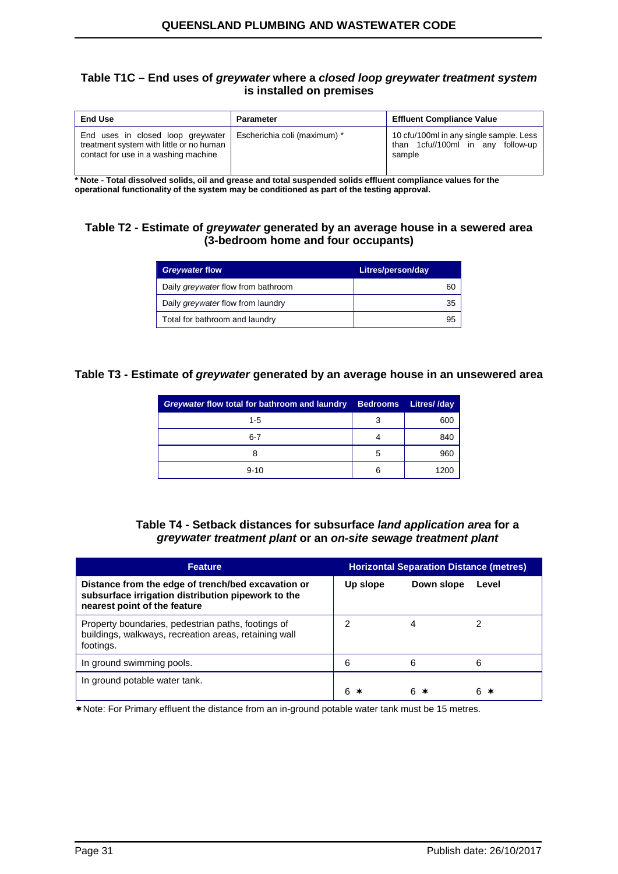#### **Table T1C – End uses of** *greywater* **where a** *closed loop greywater treatment system* **is installed on premises**

| <b>End Use</b>                                                                                                        | Parameter                    | <b>Effluent Compliance Value</b>                                                          |  |
|-----------------------------------------------------------------------------------------------------------------------|------------------------------|-------------------------------------------------------------------------------------------|--|
| End uses in closed loop greywater<br>treatment system with little or no human<br>contact for use in a washing machine | Escherichia coli (maximum) * | 10 cfu/100ml in any single sample. Less<br>than 1cfu//100ml in any<br>follow-up<br>sample |  |

**\* Note - Total dissolved solids, oil and grease and total suspended solids effluent compliance values for the operational functionality of the system may be conditioned as part of the testing approval.**

## **Table T2 - Estimate of** *greywater* **generated by an average house in a sewered area (3-bedroom home and four occupants)**

| <b>Greywater flow</b>                    | Litres/person/day |
|------------------------------------------|-------------------|
| Daily greywater flow from bathroom       | 60                |
| Daily <i>greywater</i> flow from laundry | 35                |
| Total for bathroom and laundry           | 95                |

## **Table T3 - Estimate of** *greywater* **generated by an average house in an unsewered area**

| Greywater flow total for bathroom and laundry | <b>Bedrooms</b> | Litres//day |
|-----------------------------------------------|-----------------|-------------|
| $1 - 5$                                       | 3               | 600         |
| $6 - 7$                                       |                 | 840         |
|                                               | 5               | 960         |
| $9 - 10$                                      | 6               | 1200        |

#### **Table T4 - Setback distances for subsurface** *land application area* **for a**  *greywater treatment plant* **or an** *on-site sewage treatment plant*

| <b>Feature</b>                                                                                                                           | <b>Horizontal Separation Distance (metres)</b> |            |         |
|------------------------------------------------------------------------------------------------------------------------------------------|------------------------------------------------|------------|---------|
| Distance from the edge of trench/bed excavation or<br>subsurface irrigation distribution pipework to the<br>nearest point of the feature | Up slope                                       | Down slope | Level   |
| Property boundaries, pedestrian paths, footings of<br>buildings, walkways, recreation areas, retaining wall<br>footings.                 |                                                | 4          |         |
| In ground swimming pools.                                                                                                                | 6                                              | 6          | 6       |
| In ground potable water tank.                                                                                                            |                                                | 6.         | 6.<br>∗ |

Note: For Primary effluent the distance from an in-ground potable water tank must be 15 metres.